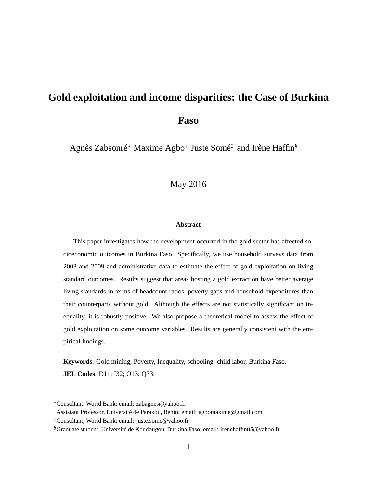# **Gold exploitation and income disparities: the Case of Burkina Faso**

Agnès Zabsonré<sup>∗</sup> Maxime Agbo† Juste Somé‡ and Irène Haffin§

May 2016

#### **Abstract**

This paper investigates how the development occurred in the gold sector has affected socioeconomic outcomes in Burkina Faso. Specifically, we use household surveys data from 2003 and 2009 and administrative data to estimate the effect of gold exploitation on living standard outcomes. Results suggest that areas hosting a gold extraction have better average living standards in terms of headcount ratios, poverty gaps and household expenditures than their counterparts without gold. Although the effects are not statistically significant on inequality, it is robustly positive. We also propose a theoretical model to assess the effect of gold exploitation on some outcome variables. Results are generally consistent with the empirical findings.

**Keywords**: Gold mining, Poverty, Inequality, schooling, child labor, Burkina Faso. **JEL Codes**: D11; I32; O13; Q33.

<sup>∗</sup>Consultant, World Bank; email: zabagnes@yahoo.fr

<sup>†</sup>Assistant Professor, Université de Parakou, Benin; email: agbomaxime@gmail.com

<sup>‡</sup>Consultant, World Bank; email: juste.some@yahoo.fr

<sup>§</sup>Graduate student, Université de Koudougou, Burkina Faso; email: irenehaffin05@yahoo.fr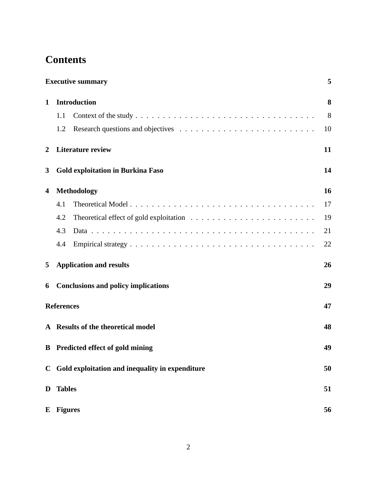## **Contents**

|                  | <b>Executive summary</b>                          | 5  |
|------------------|---------------------------------------------------|----|
| 1                | <b>Introduction</b>                               | 8  |
|                  | 1.1                                               | 8  |
|                  | 1.2                                               | 10 |
| $\boldsymbol{2}$ | <b>Literature review</b>                          | 11 |
| 3                | <b>Gold exploitation in Burkina Faso</b>          | 14 |
| 4                | <b>Methodology</b>                                | 16 |
|                  | 4.1                                               | 17 |
|                  | 4.2                                               | 19 |
|                  | 4.3                                               | 21 |
|                  | 4.4                                               | 22 |
| 5                | <b>Application and results</b>                    | 26 |
| 6                | <b>Conclusions and policy implications</b>        | 29 |
|                  | <b>References</b>                                 | 47 |
|                  | A Results of the theoretical model                | 48 |
|                  | <b>B</b> Predicted effect of gold mining          | 49 |
|                  | C Gold exploitation and inequality in expenditure | 50 |
| D                | <b>Tables</b>                                     | 51 |
| E                | <b>Figures</b>                                    | 56 |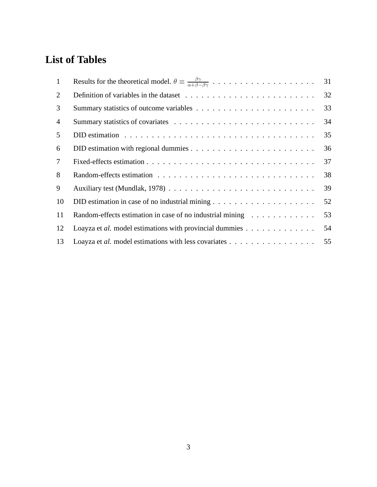## **List of Tables**

| 1              |                                                                                              | 31 |
|----------------|----------------------------------------------------------------------------------------------|----|
| 2              |                                                                                              | 32 |
| 3              |                                                                                              | 33 |
| $\overline{4}$ |                                                                                              | 34 |
| 5              |                                                                                              | 35 |
| 6              | DID estimation with regional dummies $\dots \dots \dots \dots \dots \dots \dots \dots \dots$ | 36 |
| 7              |                                                                                              | 37 |
| 8              |                                                                                              | 38 |
| 9              |                                                                                              | 39 |
| 10             |                                                                                              | 52 |
| 11             | Random-effects estimation in case of no industrial mining                                    | 53 |
| 12             | Loayza et al. model estimations with provincial dummies                                      | 54 |
| 13             | Loayza et al. model estimations with less covariates                                         | 55 |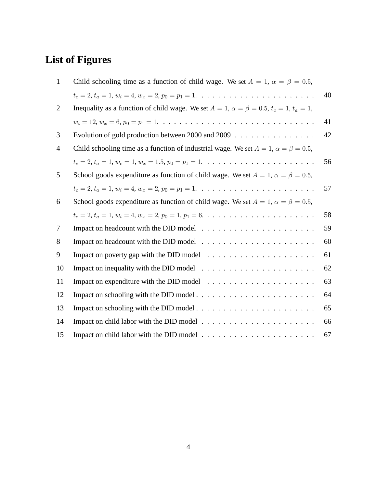# **List of Figures**

| $\mathbf{1}$   | Child schooling time as a function of child wage. We set $A = 1$ , $\alpha = \beta = 0.5$ ,               |    |
|----------------|-----------------------------------------------------------------------------------------------------------|----|
|                | $t_c = 2, t_a = 1, w_i = 4, w_x = 2, p_0 = p_1 = 1, \ldots, \ldots, \ldots, \ldots, \ldots, \ldots$       | 40 |
| $\overline{2}$ | Inequality as a function of child wage. We set $A = 1$ , $\alpha = \beta = 0.5$ , $t_c = 1$ , $t_a = 1$ , |    |
|                | $w_i = 12, w_x = 6, p_0 = p_1 = 1. \ldots \ldots \ldots \ldots \ldots \ldots \ldots \ldots \ldots \ldots$ | 41 |
| 3              | Evolution of gold production between 2000 and 2009 $\ldots$                                               | 42 |
| 4              | Child schooling time as a function of industrial wage. We set $A = 1$ , $\alpha = \beta = 0.5$ ,          |    |
|                | $t_c = 2, t_a = 1, w_c = 1, w_x = 1.5, p_0 = p_1 = 1. \ldots \ldots \ldots \ldots \ldots \ldots \ldots$   | 56 |
| 5              | School goods expenditure as function of child wage. We set $A = 1$ , $\alpha = \beta = 0.5$ ,             |    |
|                | $t_c = 2, t_a = 1, w_i = 4, w_x = 2, p_0 = p_1 = 1, \ldots, \ldots, \ldots, \ldots, \ldots, \ldots$       | 57 |
| 6              | School goods expenditure as function of child wage. We set $A = 1$ , $\alpha = \beta = 0.5$ ,             |    |
|                | $t_c = 2, t_a = 1, w_i = 4, w_x = 2, p_0 = 1, p_1 = 6, \ldots \ldots \ldots \ldots \ldots \ldots \ldots$  | 58 |
| 7              | Impact on headcount with the DID model $\ldots \ldots \ldots \ldots \ldots \ldots \ldots$                 | 59 |
| 8              | Impact on headcount with the DID model $\dots \dots \dots \dots \dots \dots \dots \dots$                  | 60 |
| 9              | Impact on poverty gap with the DID model $\ldots \ldots \ldots \ldots \ldots \ldots \ldots$               | 61 |
| 10             | Impact on inequality with the DID model $\ldots \ldots \ldots \ldots \ldots \ldots \ldots$                | 62 |
| 11             | Impact on expenditure with the DID model $\dots \dots \dots \dots \dots \dots \dots \dots$                | 63 |
| 12             |                                                                                                           | 64 |
| 13             |                                                                                                           | 65 |
| 14             |                                                                                                           | 66 |
| 15             |                                                                                                           | 67 |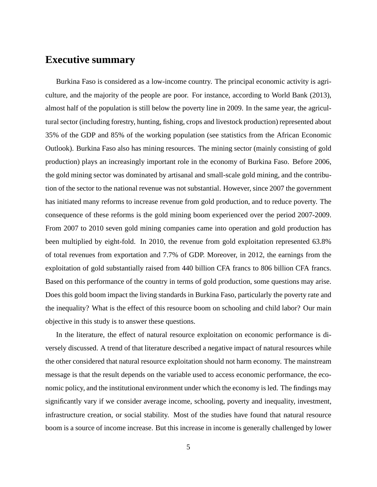### **Executive summary**

Burkina Faso is considered as a low-income country. The principal economic activity is agriculture, and the majority of the people are poor. For instance, according to World Bank (2013), almost half of the population is still below the poverty line in 2009. In the same year, the agricultural sector (including forestry, hunting, fishing, crops and livestock production) represented about 35% of the GDP and 85% of the working population (see statistics from the African Economic Outlook). Burkina Faso also has mining resources. The mining sector (mainly consisting of gold production) plays an increasingly important role in the economy of Burkina Faso. Before 2006, the gold mining sector was dominated by artisanal and small-scale gold mining, and the contribution of the sector to the national revenue was not substantial. However, since 2007 the government has initiated many reforms to increase revenue from gold production, and to reduce poverty. The consequence of these reforms is the gold mining boom experienced over the period 2007-2009. From 2007 to 2010 seven gold mining companies came into operation and gold production has been multiplied by eight-fold. In 2010, the revenue from gold exploitation represented 63.8% of total revenues from exportation and 7.7% of GDP. Moreover, in 2012, the earnings from the exploitation of gold substantially raised from 440 billion CFA francs to 806 billion CFA francs. Based on this performance of the country in terms of gold production, some questions may arise. Does this gold boom impact the living standards in Burkina Faso, particularly the poverty rate and the inequality? What is the effect of this resource boom on schooling and child labor? Our main objective in this study is to answer these questions.

In the literature, the effect of natural resource exploitation on economic performance is diversely discussed. A trend of that literature described a negative impact of natural resources while the other considered that natural resource exploitation should not harm economy. The mainstream message is that the result depends on the variable used to access economic performance, the economic policy, and the institutional environment under which the economy is led. The findings may significantly vary if we consider average income, schooling, poverty and inequality, investment, infrastructure creation, or social stability. Most of the studies have found that natural resource boom is a source of income increase. But this increase in income is generally challenged by lower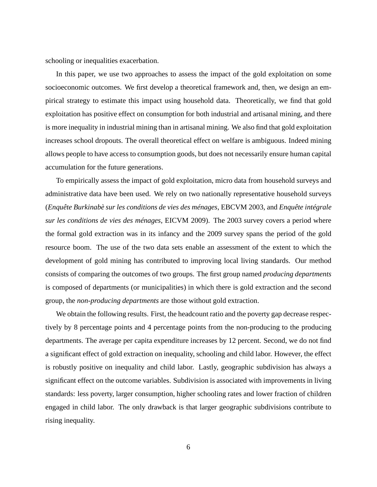schooling or inequalities exacerbation.

In this paper, we use two approaches to assess the impact of the gold exploitation on some socioeconomic outcomes. We first develop a theoretical framework and, then, we design an empirical strategy to estimate this impact using household data. Theoretically, we find that gold exploitation has positive effect on consumption for both industrial and artisanal mining, and there is more inequality in industrial mining than in artisanal mining. We also find that gold exploitation increases school dropouts. The overall theoretical effect on welfare is ambiguous. Indeed mining allows people to have access to consumption goods, but does not necessarily ensure human capital accumulation for the future generations.

To empirically assess the impact of gold exploitation, micro data from household surveys and administrative data have been used. We rely on two nationally representative household surveys (*Enquête Burkinabè sur les conditions de vies des ménages*, EBCVM 2003, and *Enquête intégrale sur les conditions de vies des ménages*, EICVM 2009). The 2003 survey covers a period where the formal gold extraction was in its infancy and the 2009 survey spans the period of the gold resource boom. The use of the two data sets enable an assessment of the extent to which the development of gold mining has contributed to improving local living standards. Our method consists of comparing the outcomes of two groups. The first group named *producing departments* is composed of departments (or municipalities) in which there is gold extraction and the second group, the *non-producing departments* are those without gold extraction.

We obtain the following results. First, the headcount ratio and the poverty gap decrease respectively by 8 percentage points and 4 percentage points from the non-producing to the producing departments. The average per capita expenditure increases by 12 percent. Second, we do not find a significant effect of gold extraction on inequality, schooling and child labor. However, the effect is robustly positive on inequality and child labor. Lastly, geographic subdivision has always a significant effect on the outcome variables. Subdivision is associated with improvements in living standards: less poverty, larger consumption, higher schooling rates and lower fraction of children engaged in child labor. The only drawback is that larger geographic subdivisions contribute to rising inequality.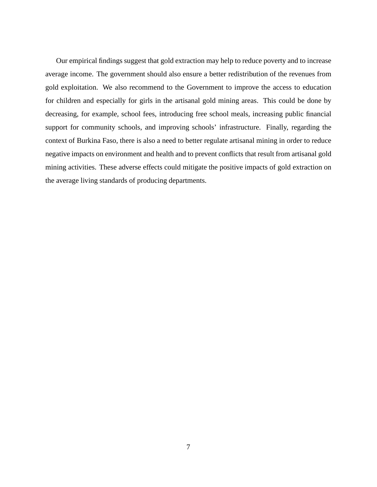Our empirical findings suggest that gold extraction may help to reduce poverty and to increase average income. The government should also ensure a better redistribution of the revenues from gold exploitation. We also recommend to the Government to improve the access to education for children and especially for girls in the artisanal gold mining areas. This could be done by decreasing, for example, school fees, introducing free school meals, increasing public financial support for community schools, and improving schools' infrastructure. Finally, regarding the context of Burkina Faso, there is also a need to better regulate artisanal mining in order to reduce negative impacts on environment and health and to prevent conflicts that result from artisanal gold mining activities. These adverse effects could mitigate the positive impacts of gold extraction on the average living standards of producing departments.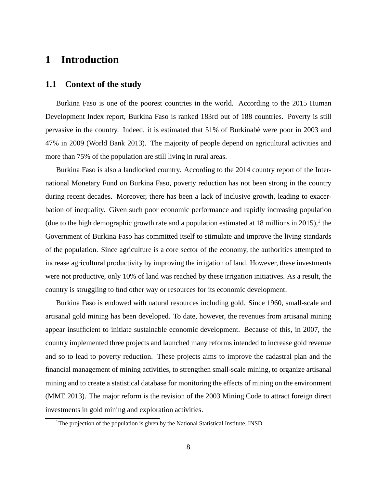### **1 Introduction**

#### **1.1 Context of the study**

Burkina Faso is one of the poorest countries in the world. According to the 2015 Human Development Index report, Burkina Faso is ranked 183rd out of 188 countries. Poverty is still pervasive in the country. Indeed, it is estimated that 51% of Burkinabè were poor in 2003 and 47% in 2009 (World Bank 2013). The majority of people depend on agricultural activities and more than 75% of the population are still living in rural areas.

Burkina Faso is also a landlocked country. According to the 2014 country report of the International Monetary Fund on Burkina Faso, poverty reduction has not been strong in the country during recent decades. Moreover, there has been a lack of inclusive growth, leading to exacerbation of inequality. Given such poor economic performance and rapidly increasing population (due to the high demographic growth rate and a population estimated at 18 millions in 2015),<sup>1</sup> the Government of Burkina Faso has committed itself to stimulate and improve the living standards of the population. Since agriculture is a core sector of the economy, the authorities attempted to increase agricultural productivity by improving the irrigation of land. However, these investments were not productive, only 10% of land was reached by these irrigation initiatives. As a result, the country is struggling to find other way or resources for its economic development.

Burkina Faso is endowed with natural resources including gold. Since 1960, small-scale and artisanal gold mining has been developed. To date, however, the revenues from artisanal mining appear insufficient to initiate sustainable economic development. Because of this, in 2007, the country implemented three projects and launched many reforms intended to increase gold revenue and so to lead to poverty reduction. These projects aims to improve the cadastral plan and the financial management of mining activities, to strengthen small-scale mining, to organize artisanal mining and to create a statistical database for monitoring the effects of mining on the environment (MME 2013). The major reform is the revision of the 2003 Mining Code to attract foreign direct investments in gold mining and exploration activities.

<sup>&</sup>lt;sup>1</sup>The projection of the population is given by the National Statistical Institute, INSD.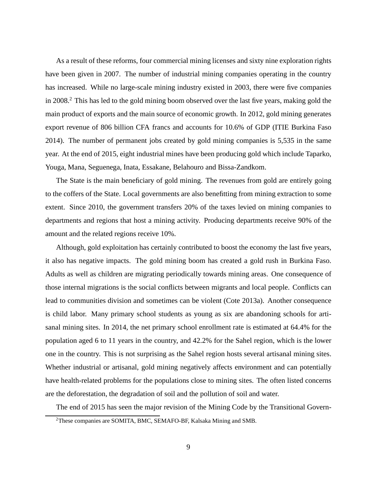As a result of these reforms, four commercial mining licenses and sixty nine exploration rights have been given in 2007. The number of industrial mining companies operating in the country has increased. While no large-scale mining industry existed in 2003, there were five companies in 2008.<sup>2</sup> This has led to the gold mining boom observed over the last five years, making gold the main product of exports and the main source of economic growth. In 2012, gold mining generates export revenue of 806 billion CFA francs and accounts for 10.6% of GDP (ITIE Burkina Faso 2014). The number of permanent jobs created by gold mining companies is 5,535 in the same year. At the end of 2015, eight industrial mines have been producing gold which include Taparko, Youga, Mana, Seguenega, Inata, Essakane, Belahouro and Bissa-Zandkom.

The State is the main beneficiary of gold mining. The revenues from gold are entirely going to the coffers of the State. Local governments are also benefitting from mining extraction to some extent. Since 2010, the government transfers 20% of the taxes levied on mining companies to departments and regions that host a mining activity. Producing departments receive 90% of the amount and the related regions receive 10%.

Although, gold exploitation has certainly contributed to boost the economy the last five years, it also has negative impacts. The gold mining boom has created a gold rush in Burkina Faso. Adults as well as children are migrating periodically towards mining areas. One consequence of those internal migrations is the social conflicts between migrants and local people. Conflicts can lead to communities division and sometimes can be violent (Cote 2013a). Another consequence is child labor. Many primary school students as young as six are abandoning schools for artisanal mining sites. In 2014, the net primary school enrollment rate is estimated at 64.4% for the population aged 6 to 11 years in the country, and 42.2% for the Sahel region, which is the lower one in the country. This is not surprising as the Sahel region hosts several artisanal mining sites. Whether industrial or artisanal, gold mining negatively affects environment and can potentially have health-related problems for the populations close to mining sites. The often listed concerns are the deforestation, the degradation of soil and the pollution of soil and water.

The end of 2015 has seen the major revision of the Mining Code by the Transitional Govern-

<sup>2</sup>These companies are SOMITA, BMC, SEMAFO-BF, Kalsaka Mining and SMB.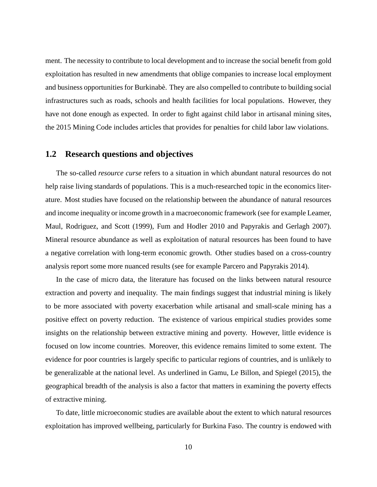ment. The necessity to contribute to local development and to increase the social benefit from gold exploitation has resulted in new amendments that oblige companies to increase local employment and business opportunities for Burkinabè. They are also compelled to contribute to building social infrastructures such as roads, schools and health facilities for local populations. However, they have not done enough as expected. In order to fight against child labor in artisanal mining sites, the 2015 Mining Code includes articles that provides for penalties for child labor law violations.

### **1.2 Research questions and objectives**

The so-called *resource curse* refers to a situation in which abundant natural resources do not help raise living standards of populations. This is a much-researched topic in the economics literature. Most studies have focused on the relationship between the abundance of natural resources and income inequality or income growth in a macroeconomic framework (see for example Leamer, Maul, Rodriguez, and Scott (1999), Fum and Hodler 2010 and Papyrakis and Gerlagh 2007). Mineral resource abundance as well as exploitation of natural resources has been found to have a negative correlation with long-term economic growth. Other studies based on a cross-country analysis report some more nuanced results (see for example Parcero and Papyrakis 2014).

In the case of micro data, the literature has focused on the links between natural resource extraction and poverty and inequality. The main findings suggest that industrial mining is likely to be more associated with poverty exacerbation while artisanal and small-scale mining has a positive effect on poverty reduction. The existence of various empirical studies provides some insights on the relationship between extractive mining and poverty. However, little evidence is focused on low income countries. Moreover, this evidence remains limited to some extent. The evidence for poor countries is largely specific to particular regions of countries, and is unlikely to be generalizable at the national level. As underlined in Gamu, Le Billon, and Spiegel (2015), the geographical breadth of the analysis is also a factor that matters in examining the poverty effects of extractive mining.

To date, little microeconomic studies are available about the extent to which natural resources exploitation has improved wellbeing, particularly for Burkina Faso. The country is endowed with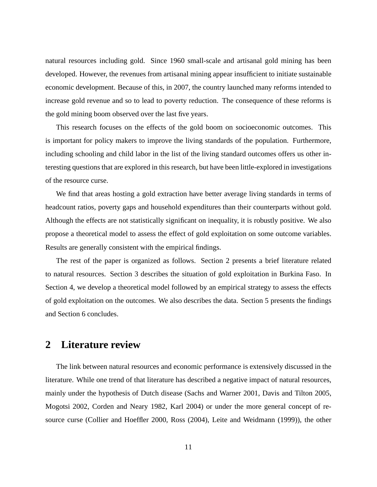natural resources including gold. Since 1960 small-scale and artisanal gold mining has been developed. However, the revenues from artisanal mining appear insufficient to initiate sustainable economic development. Because of this, in 2007, the country launched many reforms intended to increase gold revenue and so to lead to poverty reduction. The consequence of these reforms is the gold mining boom observed over the last five years.

This research focuses on the effects of the gold boom on socioeconomic outcomes. This is important for policy makers to improve the living standards of the population. Furthermore, including schooling and child labor in the list of the living standard outcomes offers us other interesting questions that are explored in this research, but have been little-explored in investigations of the resource curse.

We find that areas hosting a gold extraction have better average living standards in terms of headcount ratios, poverty gaps and household expenditures than their counterparts without gold. Although the effects are not statistically significant on inequality, it is robustly positive. We also propose a theoretical model to assess the effect of gold exploitation on some outcome variables. Results are generally consistent with the empirical findings.

The rest of the paper is organized as follows. Section 2 presents a brief literature related to natural resources. Section 3 describes the situation of gold exploitation in Burkina Faso. In Section 4, we develop a theoretical model followed by an empirical strategy to assess the effects of gold exploitation on the outcomes. We also describes the data. Section 5 presents the findings and Section 6 concludes.

### **2 Literature review**

The link between natural resources and economic performance is extensively discussed in the literature. While one trend of that literature has described a negative impact of natural resources, mainly under the hypothesis of Dutch disease (Sachs and Warner 2001, Davis and Tilton 2005, Mogotsi 2002, Corden and Neary 1982, Karl 2004) or under the more general concept of resource curse (Collier and Hoeffler 2000, Ross (2004), Leite and Weidmann (1999)), the other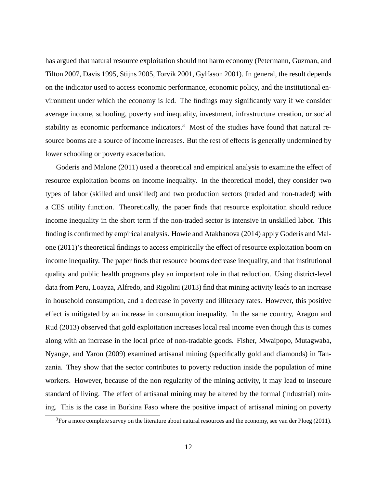has argued that natural resource exploitation should not harm economy (Petermann, Guzman, and Tilton 2007, Davis 1995, Stijns 2005, Torvik 2001, Gylfason 2001). In general, the result depends on the indicator used to access economic performance, economic policy, and the institutional environment under which the economy is led. The findings may significantly vary if we consider average income, schooling, poverty and inequality, investment, infrastructure creation, or social stability as economic performance indicators.<sup>3</sup> Most of the studies have found that natural resource booms are a source of income increases. But the rest of effects is generally undermined by lower schooling or poverty exacerbation.

Goderis and Malone (2011) used a theoretical and empirical analysis to examine the effect of resource exploitation booms on income inequality. In the theoretical model, they consider two types of labor (skilled and unskilled) and two production sectors (traded and non-traded) with a CES utility function. Theoretically, the paper finds that resource exploitation should reduce income inequality in the short term if the non-traded sector is intensive in unskilled labor. This finding is confirmed by empirical analysis. Howie and Atakhanova (2014) apply Goderis and Malone (2011)'s theoretical findings to access empirically the effect of resource exploitation boom on income inequality. The paper finds that resource booms decrease inequality, and that institutional quality and public health programs play an important role in that reduction. Using district-level data from Peru, Loayza, Alfredo, and Rigolini (2013) find that mining activity leads to an increase in household consumption, and a decrease in poverty and illiteracy rates. However, this positive effect is mitigated by an increase in consumption inequality. In the same country, Aragon and Rud (2013) observed that gold exploitation increases local real income even though this is comes along with an increase in the local price of non-tradable goods. Fisher, Mwaipopo, Mutagwaba, Nyange, and Yaron (2009) examined artisanal mining (specifically gold and diamonds) in Tanzania. They show that the sector contributes to poverty reduction inside the population of mine workers. However, because of the non regularity of the mining activity, it may lead to insecure standard of living. The effect of artisanal mining may be altered by the formal (industrial) mining. This is the case in Burkina Faso where the positive impact of artisanal mining on poverty

 $3$ For a more complete survey on the literature about natural resources and the economy, see van der Ploeg (2011).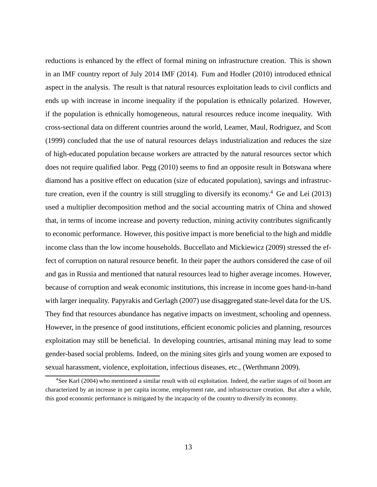reductions is enhanced by the effect of formal mining on infrastructure creation. This is shown in an IMF country report of July 2014 IMF (2014). Fum and Hodler (2010) introduced ethnical aspect in the analysis. The result is that natural resources exploitation leads to civil conflicts and ends up with increase in income inequality if the population is ethnically polarized. However, if the population is ethnically homogeneous, natural resources reduce income inequality. With cross-sectional data on different countries around the world, Leamer, Maul, Rodriguez, and Scott (1999) concluded that the use of natural resources delays industrialization and reduces the size of high-educated population because workers are attracted by the natural resources sector which does not require qualified labor. Pegg (2010) seems to find an opposite result in Botswana where diamond has a positive effect on education (size of educated population), savings and infrastructure creation, even if the country is still struggling to diversify its economy.<sup>4</sup> Ge and Lei  $(2013)$ used a multiplier decomposition method and the social accounting matrix of China and showed that, in terms of income increase and poverty reduction, mining activity contributes significantly to economic performance. However, this positive impact is more beneficial to the high and middle income class than the low income households. Buccellato and Mickiewicz (2009) stressed the effect of corruption on natural resource benefit. In their paper the authors considered the case of oil and gas in Russia and mentioned that natural resources lead to higher average incomes. However, because of corruption and weak economic institutions, this increase in income goes hand-in-hand with larger inequality. Papyrakis and Gerlagh (2007) use disaggregated state-level data for the US. They find that resources abundance has negative impacts on investment, schooling and openness. However, in the presence of good institutions, efficient economic policies and planning, resources exploitation may still be beneficial. In developing countries, artisanal mining may lead to some gender-based social problems. Indeed, on the mining sites girls and young women are exposed to sexual harassment, violence, exploitation, infectious diseases, etc., (Werthmann 2009).

<sup>4</sup>See Karl (2004) who mentioned a similar result with oil exploitation. Indeed, the earlier stages of oil boom are characterized by an increase in per capita income, employment rate, and infrastructure creation. But after a while, this good economic performance is mitigated by the incapacity of the country to diversify its economy.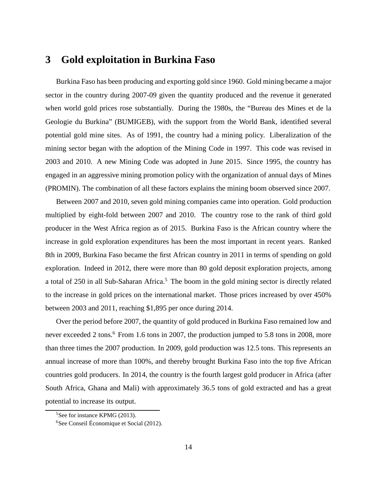### **3 Gold exploitation in Burkina Faso**

Burkina Faso has been producing and exporting gold since 1960. Gold mining became a major sector in the country during 2007-09 given the quantity produced and the revenue it generated when world gold prices rose substantially. During the 1980s, the "Bureau des Mines et de la Geologie du Burkina" (BUMIGEB), with the support from the World Bank, identified several potential gold mine sites. As of 1991, the country had a mining policy. Liberalization of the mining sector began with the adoption of the Mining Code in 1997. This code was revised in 2003 and 2010. A new Mining Code was adopted in June 2015. Since 1995, the country has engaged in an aggressive mining promotion policy with the organization of annual days of Mines (PROMIN). The combination of all these factors explains the mining boom observed since 2007.

Between 2007 and 2010, seven gold mining companies came into operation. Gold production multiplied by eight-fold between 2007 and 2010. The country rose to the rank of third gold producer in the West Africa region as of 2015. Burkina Faso is the African country where the increase in gold exploration expenditures has been the most important in recent years. Ranked 8th in 2009, Burkina Faso became the first African country in 2011 in terms of spending on gold exploration. Indeed in 2012, there were more than 80 gold deposit exploration projects, among a total of 250 in all Sub-Saharan Africa.<sup>5</sup> The boom in the gold mining sector is directly related to the increase in gold prices on the international market. Those prices increased by over 450% between 2003 and 2011, reaching \$1,895 per once during 2014.

Over the period before 2007, the quantity of gold produced in Burkina Faso remained low and never exceeded 2 tons.<sup>6</sup> From 1.6 tons in 2007, the production jumped to 5.8 tons in 2008, more than three times the 2007 production. In 2009, gold production was 12.5 tons. This represents an annual increase of more than 100%, and thereby brought Burkina Faso into the top five African countries gold producers. In 2014, the country is the fourth largest gold producer in Africa (after South Africa, Ghana and Mali) with approximately 36.5 tons of gold extracted and has a great potential to increase its output.

<sup>&</sup>lt;sup>5</sup>See for instance KPMG (2013).

<sup>6</sup>See Conseil Économique et Social (2012).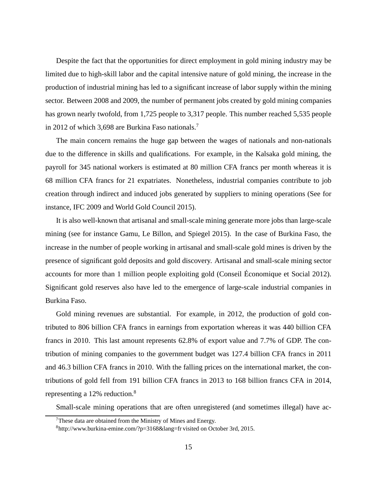Despite the fact that the opportunities for direct employment in gold mining industry may be limited due to high-skill labor and the capital intensive nature of gold mining, the increase in the production of industrial mining has led to a significant increase of labor supply within the mining sector. Between 2008 and 2009, the number of permanent jobs created by gold mining companies has grown nearly twofold, from 1,725 people to 3,317 people. This number reached 5,535 people in 2012 of which 3,698 are Burkina Faso nationals.<sup>7</sup>

The main concern remains the huge gap between the wages of nationals and non-nationals due to the difference in skills and qualifications. For example, in the Kalsaka gold mining, the payroll for 345 national workers is estimated at 80 million CFA francs per month whereas it is 68 million CFA francs for 21 expatriates. Nonetheless, industrial companies contribute to job creation through indirect and induced jobs generated by suppliers to mining operations (See for instance, IFC 2009 and World Gold Council 2015).

It is also well-known that artisanal and small-scale mining generate more jobs than large-scale mining (see for instance Gamu, Le Billon, and Spiegel 2015). In the case of Burkina Faso, the increase in the number of people working in artisanal and small-scale gold mines is driven by the presence of significant gold deposits and gold discovery. Artisanal and small-scale mining sector accounts for more than 1 million people exploiting gold (Conseil Économique et Social 2012). Significant gold reserves also have led to the emergence of large-scale industrial companies in Burkina Faso.

Gold mining revenues are substantial. For example, in 2012, the production of gold contributed to 806 billion CFA francs in earnings from exportation whereas it was 440 billion CFA francs in 2010. This last amount represents 62.8% of export value and 7.7% of GDP. The contribution of mining companies to the government budget was 127.4 billion CFA francs in 2011 and 46.3 billion CFA francs in 2010. With the falling prices on the international market, the contributions of gold fell from 191 billion CFA francs in 2013 to 168 billion francs CFA in 2014, representing a 12% reduction.<sup>8</sup>

Small-scale mining operations that are often unregistered (and sometimes illegal) have ac-

 $7$ These data are obtained from the Ministry of Mines and Energy.

<sup>8</sup>http://www.burkina-emine.com/?p=3168&lang=fr visited on October 3rd, 2015.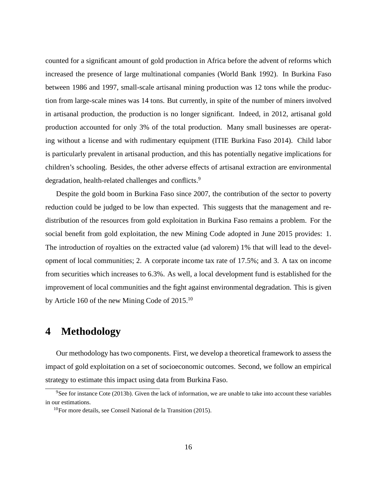counted for a significant amount of gold production in Africa before the advent of reforms which increased the presence of large multinational companies (World Bank 1992). In Burkina Faso between 1986 and 1997, small-scale artisanal mining production was 12 tons while the production from large-scale mines was 14 tons. But currently, in spite of the number of miners involved in artisanal production, the production is no longer significant. Indeed, in 2012, artisanal gold production accounted for only 3% of the total production. Many small businesses are operating without a license and with rudimentary equipment (ITIE Burkina Faso 2014). Child labor is particularly prevalent in artisanal production, and this has potentially negative implications for children's schooling. Besides, the other adverse effects of artisanal extraction are environmental degradation, health-related challenges and conflicts.<sup>9</sup>

Despite the gold boom in Burkina Faso since 2007, the contribution of the sector to poverty reduction could be judged to be low than expected. This suggests that the management and redistribution of the resources from gold exploitation in Burkina Faso remains a problem. For the social benefit from gold exploitation, the new Mining Code adopted in June 2015 provides: 1. The introduction of royalties on the extracted value (ad valorem) 1% that will lead to the development of local communities; 2. A corporate income tax rate of 17.5%; and 3. A tax on income from securities which increases to 6.3%. As well, a local development fund is established for the improvement of local communities and the fight against environmental degradation. This is given by Article 160 of the new Mining Code of  $2015$ <sup>10</sup>

### **4 Methodology**

Our methodology has two components. First, we develop a theoretical framework to assess the impact of gold exploitation on a set of socioeconomic outcomes. Second, we follow an empirical strategy to estimate this impact using data from Burkina Faso.

 $9$ See for instance Cote (2013b). Given the lack of information, we are unable to take into account these variables in our estimations.

 $10$ For more details, see Conseil National de la Transition (2015).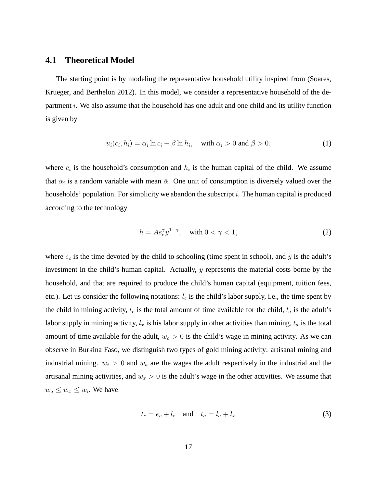#### **4.1 Theoretical Model**

The starting point is by modeling the representative household utility inspired from (Soares, Krueger, and Berthelon 2012). In this model, we consider a representative household of the department  $i$ . We also assume that the household has one adult and one child and its utility function is given by

$$
u_i(c_i, h_i) = \alpha_i \ln c_i + \beta \ln h_i, \quad \text{with } \alpha_i > 0 \text{ and } \beta > 0.
$$
 (1)

where  $c_i$  is the household's consumption and  $h_i$  is the human capital of the child. We assume that  $\alpha_i$  is a random variable with mean  $\bar{\alpha}$ . One unit of consumption is diversely valued over the households' population. For simplicity we abandon the subscript i. The human capital is produced according to the technology

$$
h = Ae_c^{\gamma} y^{1-\gamma}, \quad \text{with } 0 < \gamma < 1,\tag{2}
$$

where  $e_c$  is the time devoted by the child to schooling (time spent in school), and y is the adult's investment in the child's human capital. Actually, y represents the material costs borne by the household, and that are required to produce the child's human capital (equipment, tuition fees, etc.). Let us consider the following notations:  $l_c$  is the child's labor supply, i.e., the time spent by the child in mining activity,  $t_c$  is the total amount of time available for the child,  $l_a$  is the adult's labor supply in mining activity,  $l_x$  is his labor supply in other activities than mining,  $t_a$  is the total amount of time available for the adult,  $w_c > 0$  is the child's wage in mining activity. As we can observe in Burkina Faso, we distinguish two types of gold mining activity: artisanal mining and industrial mining.  $w_i > 0$  and  $w_a$  are the wages the adult respectively in the industrial and the artisanal mining activities, and  $w_x > 0$  is the adult's wage in the other activities. We assume that  $w_a \leq w_x \leq w_i$ . We have

$$
t_c = e_c + l_c \quad \text{and} \quad t_a = l_a + l_x \tag{3}
$$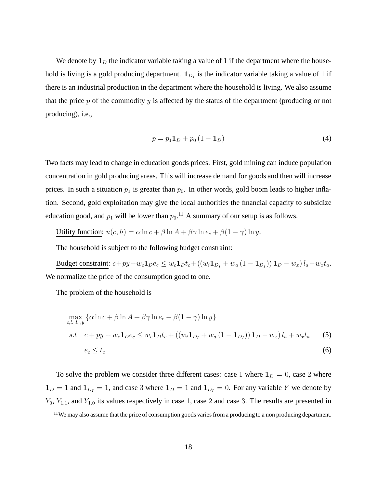We denote by  $1_D$  the indicator variable taking a value of 1 if the department where the household is living is a gold producing department.  $\mathbf{1}_{D_I}$  is the indicator variable taking a value of 1 if there is an industrial production in the department where the household is living. We also assume that the price  $p$  of the commodity  $y$  is affected by the status of the department (producing or not producing), i.e.,

$$
p = p_1 \mathbf{1}_D + p_0 \left( 1 - \mathbf{1}_D \right) \tag{4}
$$

Two facts may lead to change in education goods prices. First, gold mining can induce population concentration in gold producing areas. This will increase demand for goods and then will increase prices. In such a situation  $p_1$  is greater than  $p_0$ . In other words, gold boom leads to higher inflation. Second, gold exploitation may give the local authorities the financial capacity to subsidize education good, and  $p_1$  will be lower than  $p_0$ .<sup>11</sup> A summary of our setup is as follows.

Utility function:  $u(c, h) = \alpha \ln c + \beta \ln A + \beta \gamma \ln e_c + \beta (1 - \gamma) \ln y$ .

The household is subject to the following budget constraint:

Budget constraint:  $c + py + w_c \mathbf{1}_D e_c \leq w_c \mathbf{1}_D t_c + ((w_i \mathbf{1}_{D_I} + w_a (1 - \mathbf{1}_{D_I})) \mathbf{1}_D - w_x) l_a + w_x t_a$ . We normalize the price of the consumption good to one.

The problem of the household is

$$
\max_{c,l_c,l_a,y} \{ \alpha \ln c + \beta \ln A + \beta \gamma \ln e_c + \beta (1 - \gamma) \ln y \}
$$
  
s.t  $c + py + w_c \mathbf{1}_D e_c \le w_c \mathbf{1}_D t_c + ((w_i \mathbf{1}_{D_I} + w_a (1 - \mathbf{1}_{D_I})) \mathbf{1}_D - w_x) l_a + w_x t_a$  (5)  
 $e_c \le t_c$  (6)

To solve the problem we consider three different cases: case 1 where  $1_D = 0$ , case 2 where  $1_D = 1$  and  $1_{D_I} = 1$ , and case 3 where  $1_D = 1$  and  $1_{D_I} = 0$ . For any variable Y we denote by  $Y_0$ ,  $Y_{1,1}$ , and  $Y_{1,0}$  its values respectively in case 1, case 2 and case 3. The results are presented in

<sup>&</sup>lt;sup>11</sup>We may also assume that the price of consumption goods varies from a producing to a non producing department.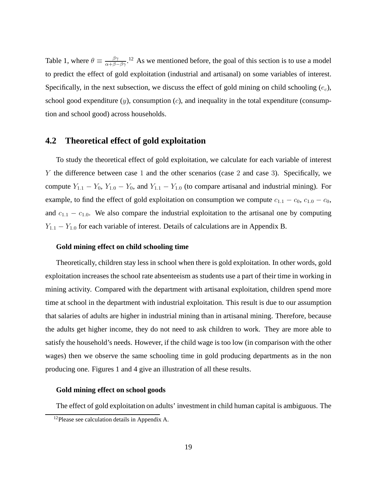Table 1, where  $\theta \equiv \frac{\beta \gamma}{\alpha + \beta - \beta \gamma}$ .<sup>12</sup> As we mentioned before, the goal of this section is to use a model to predict the effect of gold exploitation (industrial and artisanal) on some variables of interest. Specifically, in the next subsection, we discuss the effect of gold mining on child schooling  $(e_c)$ , school good expenditure  $(y)$ , consumption  $(c)$ , and inequality in the total expenditure (consumption and school good) across households.

#### **4.2 Theoretical effect of gold exploitation**

To study the theoretical effect of gold exploitation, we calculate for each variable of interest Y the difference between case 1 and the other scenarios (case 2 and case 3). Specifically, we compute  $Y_{1,1} - Y_0$ ,  $Y_{1,0} - Y_0$ , and  $Y_{1,1} - Y_{1,0}$  (to compare artisanal and industrial mining). For example, to find the effect of gold exploitation on consumption we compute  $c_{1,1} - c_0$ ,  $c_{1,0} - c_0$ , and  $c_{1,1} - c_{1,0}$ . We also compare the industrial exploitation to the artisanal one by computing  $Y_{1,1} - Y_{1,0}$  for each variable of interest. Details of calculations are in Appendix B.

#### **Gold mining effect on child schooling time**

Theoretically, children stay less in school when there is gold exploitation. In other words, gold exploitation increases the school rate absenteeism as students use a part of their time in working in mining activity. Compared with the department with artisanal exploitation, children spend more time at school in the department with industrial exploitation. This result is due to our assumption that salaries of adults are higher in industrial mining than in artisanal mining. Therefore, because the adults get higher income, they do not need to ask children to work. They are more able to satisfy the household's needs. However, if the child wage is too low (in comparison with the other wages) then we observe the same schooling time in gold producing departments as in the non producing one. Figures 1 and 4 give an illustration of all these results.

#### **Gold mining effect on school goods**

The effect of gold exploitation on adults' investment in child human capital is ambiguous. The

<sup>&</sup>lt;sup>12</sup>Please see calculation details in Appendix A.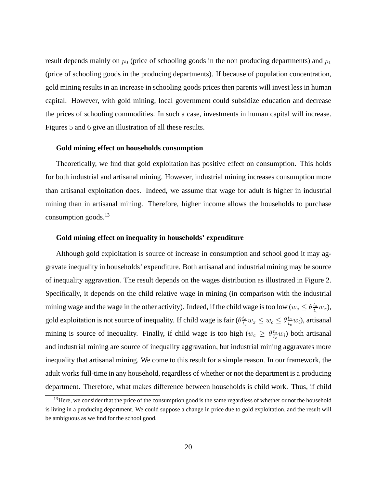result depends mainly on  $p_0$  (price of schooling goods in the non producing departments) and  $p_1$ (price of schooling goods in the producing departments). If because of population concentration, gold mining results in an increase in schooling goods prices then parents will invest less in human capital. However, with gold mining, local government could subsidize education and decrease the prices of schooling commodities. In such a case, investments in human capital will increase. Figures 5 and 6 give an illustration of all these results.

#### **Gold mining effect on households consumption**

Theoretically, we find that gold exploitation has positive effect on consumption. This holds for both industrial and artisanal mining. However, industrial mining increases consumption more than artisanal exploitation does. Indeed, we assume that wage for adult is higher in industrial mining than in artisanal mining. Therefore, higher income allows the households to purchase consumption goods. $^{13}$ 

#### **Gold mining effect on inequality in households' expenditure**

Although gold exploitation is source of increase in consumption and school good it may aggravate inequality in households' expenditure. Both artisanal and industrial mining may be source of inequality aggravation. The result depends on the wages distribution as illustrated in Figure 2. Specifically, it depends on the child relative wage in mining (in comparison with the industrial mining wage and the wage in the other activity). Indeed, if the child wage is too low ( $w_c \leq \theta \frac{t_a}{t_a}$  $\frac{t_a}{t_c} w_x$ ), gold exploitation is not source of inequality. If child wage is fair  $(\theta_{\frac{t_a}{t_a}}^{\frac{t_a}{t_a}})$  $\frac{t_a}{t_c} w_x \leq w_c \leq \theta \frac{t_a}{t_c}$  $\frac{t_a}{t_c} w_i$ ), artisanal mining is source of inequality. Finally, if child wage is too high  $(w_c \geq \theta \frac{t_a}{t_c})$  $\frac{t_a}{t_c}$ *w*<sub>i</sub>) both artisanal and industrial mining are source of inequality aggravation, but industrial mining aggravates more inequality that artisanal mining. We come to this result for a simple reason. In our framework, the adult works full-time in any household, regardless of whether or not the department is a producing department. Therefore, what makes difference between households is child work. Thus, if child

 $<sup>13</sup>$  Here, we consider that the price of the consumption good is the same regardless of whether or not the household</sup> is living in a producing department. We could suppose a change in price due to gold exploitation, and the result will be ambiguous as we find for the school good.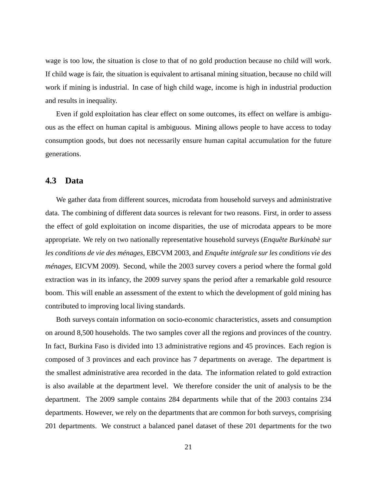wage is too low, the situation is close to that of no gold production because no child will work. If child wage is fair, the situation is equivalent to artisanal mining situation, because no child will work if mining is industrial. In case of high child wage, income is high in industrial production and results in inequality.

Even if gold exploitation has clear effect on some outcomes, its effect on welfare is ambiguous as the effect on human capital is ambiguous. Mining allows people to have access to today consumption goods, but does not necessarily ensure human capital accumulation for the future generations.

#### **4.3 Data**

We gather data from different sources, microdata from household surveys and administrative data. The combining of different data sources is relevant for two reasons. First, in order to assess the effect of gold exploitation on income disparities, the use of microdata appears to be more appropriate. We rely on two nationally representative household surveys (*Enquête Burkinabè sur les conditions de vie des ménages*, EBCVM 2003, and *Enquête intégrale sur les conditions vie des ménages*, EICVM 2009). Second, while the 2003 survey covers a period where the formal gold extraction was in its infancy, the 2009 survey spans the period after a remarkable gold resource boom. This will enable an assessment of the extent to which the development of gold mining has contributed to improving local living standards.

Both surveys contain information on socio-economic characteristics, assets and consumption on around 8,500 households. The two samples cover all the regions and provinces of the country. In fact, Burkina Faso is divided into 13 administrative regions and 45 provinces. Each region is composed of 3 provinces and each province has 7 departments on average. The department is the smallest administrative area recorded in the data. The information related to gold extraction is also available at the department level. We therefore consider the unit of analysis to be the department. The 2009 sample contains 284 departments while that of the 2003 contains 234 departments. However, we rely on the departments that are common for both surveys, comprising 201 departments. We construct a balanced panel dataset of these 201 departments for the two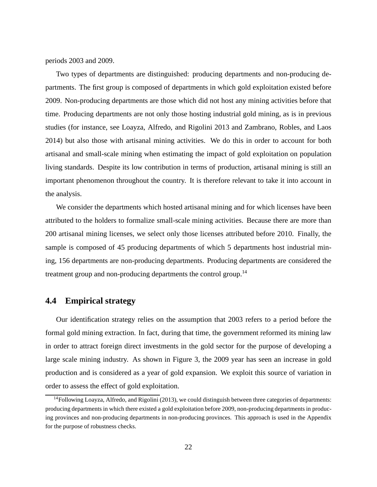periods 2003 and 2009.

Two types of departments are distinguished: producing departments and non-producing departments. The first group is composed of departments in which gold exploitation existed before 2009. Non-producing departments are those which did not host any mining activities before that time. Producing departments are not only those hosting industrial gold mining, as is in previous studies (for instance, see Loayza, Alfredo, and Rigolini 2013 and Zambrano, Robles, and Laos 2014) but also those with artisanal mining activities. We do this in order to account for both artisanal and small-scale mining when estimating the impact of gold exploitation on population living standards. Despite its low contribution in terms of production, artisanal mining is still an important phenomenon throughout the country. It is therefore relevant to take it into account in the analysis.

We consider the departments which hosted artisanal mining and for which licenses have been attributed to the holders to formalize small-scale mining activities. Because there are more than 200 artisanal mining licenses, we select only those licenses attributed before 2010. Finally, the sample is composed of 45 producing departments of which 5 departments host industrial mining, 156 departments are non-producing departments. Producing departments are considered the treatment group and non-producing departments the control group.<sup>14</sup>

#### **4.4 Empirical strategy**

Our identification strategy relies on the assumption that 2003 refers to a period before the formal gold mining extraction. In fact, during that time, the government reformed its mining law in order to attract foreign direct investments in the gold sector for the purpose of developing a large scale mining industry. As shown in Figure 3, the 2009 year has seen an increase in gold production and is considered as a year of gold expansion. We exploit this source of variation in order to assess the effect of gold exploitation.

<sup>&</sup>lt;sup>14</sup>Following Loayza, Alfredo, and Rigolini (2013), we could distinguish between three categories of departments: producing departments in which there existed a gold exploitation before 2009, non-producing departments in producing provinces and non-producing departments in non-producing provinces. This approach is used in the Appendix for the purpose of robustness checks.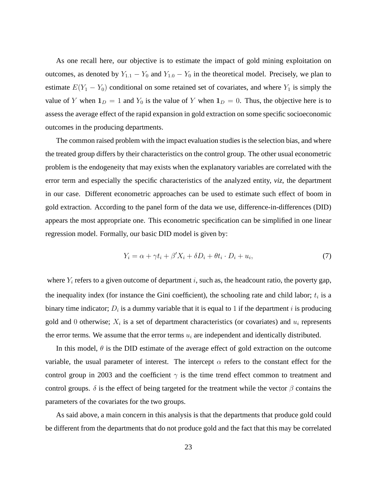As one recall here, our objective is to estimate the impact of gold mining exploitation on outcomes, as denoted by  $Y_{1,1} - Y_0$  and  $Y_{1,0} - Y_0$  in the theoretical model. Precisely, we plan to estimate  $E(Y_1 - Y_0)$  conditional on some retained set of covariates, and where  $Y_1$  is simply the value of Y when  $\mathbf{1}_D = 1$  and  $Y_0$  is the value of Y when  $\mathbf{1}_D = 0$ . Thus, the objective here is to assess the average effect of the rapid expansion in gold extraction on some specific socioeconomic outcomes in the producing departments.

The common raised problem with the impact evaluation studies is the selection bias, and where the treated group differs by their characteristics on the control group. The other usual econometric problem is the endogeneity that may exists when the explanatory variables are correlated with the error term and especially the specific characteristics of the analyzed entity, *viz*, the department in our case. Different econometric approaches can be used to estimate such effect of boom in gold extraction. According to the panel form of the data we use, difference-in-differences (DID) appears the most appropriate one. This econometric specification can be simplified in one linear regression model. Formally, our basic DID model is given by:

$$
Y_i = \alpha + \gamma t_i + \beta' X_i + \delta D_i + \theta t_i \cdot D_i + u_i,\tag{7}
$$

where  $Y_i$  refers to a given outcome of department i, such as, the headcount ratio, the poverty gap, the inequality index (for instance the Gini coefficient), the schooling rate and child labor;  $t_i$  is a binary time indicator;  $D_i$  is a dummy variable that it is equal to 1 if the department i is producing gold and 0 otherwise;  $X_i$  is a set of department characteristics (or covariates) and  $u_i$  represents the error terms. We assume that the error terms  $u_i$  are independent and identically distributed.

In this model,  $\theta$  is the DID estimate of the average effect of gold extraction on the outcome variable, the usual parameter of interest. The intercept  $\alpha$  refers to the constant effect for the control group in 2003 and the coefficient  $\gamma$  is the time trend effect common to treatment and control groups.  $\delta$  is the effect of being targeted for the treatment while the vector  $\beta$  contains the parameters of the covariates for the two groups.

As said above, a main concern in this analysis is that the departments that produce gold could be different from the departments that do not produce gold and the fact that this may be correlated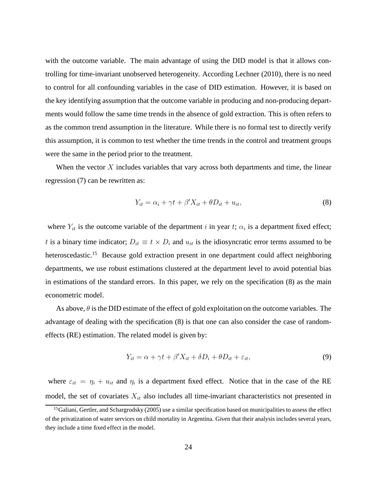with the outcome variable. The main advantage of using the DID model is that it allows controlling for time-invariant unobserved heterogeneity. According Lechner (2010), there is no need to control for all confounding variables in the case of DID estimation. However, it is based on the key identifying assumption that the outcome variable in producing and non-producing departments would follow the same time trends in the absence of gold extraction. This is often refers to as the common trend assumption in the literature. While there is no formal test to directly verify this assumption, it is common to test whether the time trends in the control and treatment groups were the same in the period prior to the treatment.

When the vector  $X$  includes variables that vary across both departments and time, the linear regression (7) can be rewritten as:

$$
Y_{it} = \alpha_i + \gamma t + \beta' X_{it} + \theta D_{it} + u_{it},\tag{8}
$$

where  $Y_{it}$  is the outcome variable of the department i in year t;  $\alpha_i$  is a department fixed effect; t is a binary time indicator;  $D_{it} \equiv t \times D_i$  and  $u_{it}$  is the idiosyncratic error terms assumed to be heteroscedastic.<sup>15</sup> Because gold extraction present in one department could affect neighboring departments, we use robust estimations clustered at the department level to avoid potential bias in estimations of the standard errors. In this paper, we rely on the specification (8) as the main econometric model.

As above,  $\theta$  is the DID estimate of the effect of gold exploitation on the outcome variables. The advantage of dealing with the specification (8) is that one can also consider the case of randomeffects (RE) estimation. The related model is given by:

$$
Y_{it} = \alpha + \gamma t + \beta' X_{it} + \delta D_i + \theta D_{it} + \varepsilon_{it},\tag{9}
$$

where  $\varepsilon_{it} = \eta_i + u_{it}$  and  $\eta_i$  is a department fixed effect. Notice that in the case of the RE model, the set of covariates  $X_{it}$  also includes all time-invariant characteristics not presented in

 $<sup>15</sup>$ Galiani, Gertler, and Schargrodsky (2005) use a similar specification based on municipalities to assess the effect</sup> of the privatization of water services on child mortality in Argentina. Given that their analysis includes several years, they include a time fixed effect in the model.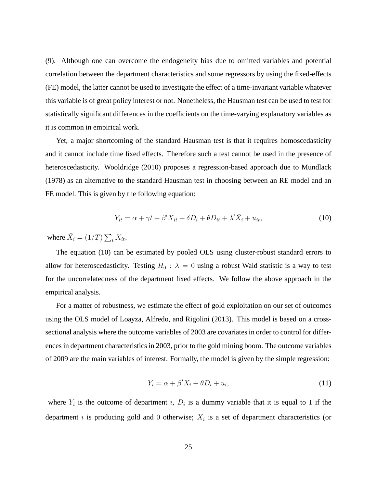(9). Although one can overcome the endogeneity bias due to omitted variables and potential correlation between the department characteristics and some regressors by using the fixed-effects (FE) model, the latter cannot be used to investigate the effect of a time-invariant variable whatever this variable is of great policy interest or not. Nonetheless, the Hausman test can be used to test for statistically significant differences in the coefficients on the time-varying explanatory variables as it is common in empirical work.

Yet, a major shortcoming of the standard Hausman test is that it requires homoscedasticity and it cannot include time fixed effects. Therefore such a test cannot be used in the presence of heteroscedasticity. Wooldridge (2010) proposes a regression-based approach due to Mundlack (1978) as an alternative to the standard Hausman test in choosing between an RE model and an FE model. This is given by the following equation:

$$
Y_{it} = \alpha + \gamma t + \beta' X_{it} + \delta D_i + \theta D_{it} + \lambda' \overline{X}_i + u_{it},\tag{10}
$$

where  $\bar{X}_i = (1/T) \sum_t X_{it}$ .

The equation (10) can be estimated by pooled OLS using cluster-robust standard errors to allow for heteroscedasticity. Testing  $H_0$ :  $\lambda = 0$  using a robust Wald statistic is a way to test for the uncorrelatedness of the department fixed effects. We follow the above approach in the empirical analysis.

For a matter of robustness, we estimate the effect of gold exploitation on our set of outcomes using the OLS model of Loayza, Alfredo, and Rigolini (2013). This model is based on a crosssectional analysis where the outcome variables of 2003 are covariates in order to control for differences in department characteristics in 2003, prior to the gold mining boom. The outcome variables of 2009 are the main variables of interest. Formally, the model is given by the simple regression:

$$
Y_i = \alpha + \beta' X_i + \theta D_i + u_i,\tag{11}
$$

where  $Y_i$  is the outcome of department i,  $D_i$  is a dummy variable that it is equal to 1 if the department i is producing gold and 0 otherwise;  $X_i$  is a set of department characteristics (or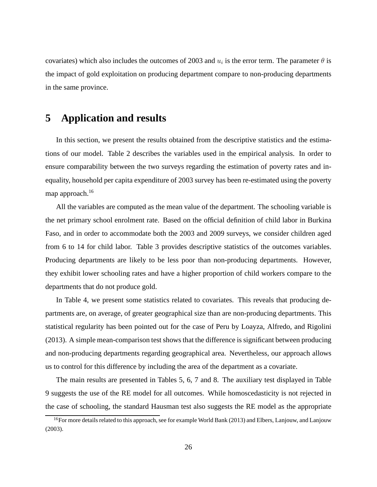covariates) which also includes the outcomes of 2003 and  $u_i$  is the error term. The parameter  $\theta$  is the impact of gold exploitation on producing department compare to non-producing departments in the same province.

### **5 Application and results**

In this section, we present the results obtained from the descriptive statistics and the estimations of our model. Table 2 describes the variables used in the empirical analysis. In order to ensure comparability between the two surveys regarding the estimation of poverty rates and inequality, household per capita expenditure of 2003 survey has been re-estimated using the poverty map approach.<sup>16</sup>

All the variables are computed as the mean value of the department. The schooling variable is the net primary school enrolment rate. Based on the official definition of child labor in Burkina Faso, and in order to accommodate both the 2003 and 2009 surveys, we consider children aged from 6 to 14 for child labor. Table 3 provides descriptive statistics of the outcomes variables. Producing departments are likely to be less poor than non-producing departments. However, they exhibit lower schooling rates and have a higher proportion of child workers compare to the departments that do not produce gold.

In Table 4, we present some statistics related to covariates. This reveals that producing departments are, on average, of greater geographical size than are non-producing departments. This statistical regularity has been pointed out for the case of Peru by Loayza, Alfredo, and Rigolini (2013). A simple mean-comparison test shows that the difference is significant between producing and non-producing departments regarding geographical area. Nevertheless, our approach allows us to control for this difference by including the area of the department as a covariate.

The main results are presented in Tables 5, 6, 7 and 8. The auxiliary test displayed in Table 9 suggests the use of the RE model for all outcomes. While homoscedasticity is not rejected in the case of schooling, the standard Hausman test also suggests the RE model as the appropriate

<sup>&</sup>lt;sup>16</sup>For more details related to this approach, see for example World Bank (2013) and Elbers, Lanjouw, and Lanjouw (2003).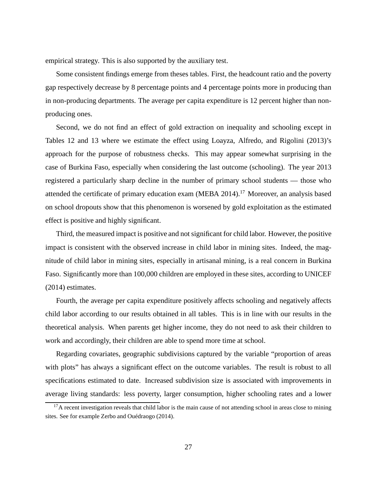empirical strategy. This is also supported by the auxiliary test.

Some consistent findings emerge from theses tables. First, the headcount ratio and the poverty gap respectively decrease by 8 percentage points and 4 percentage points more in producing than in non-producing departments. The average per capita expenditure is 12 percent higher than nonproducing ones.

Second, we do not find an effect of gold extraction on inequality and schooling except in Tables 12 and 13 where we estimate the effect using Loayza, Alfredo, and Rigolini (2013)'s approach for the purpose of robustness checks. This may appear somewhat surprising in the case of Burkina Faso, especially when considering the last outcome (schooling). The year 2013 registered a particularly sharp decline in the number of primary school students — those who attended the certificate of primary education exam (MEBA 2014).<sup>17</sup> Moreover, an analysis based on school dropouts show that this phenomenon is worsened by gold exploitation as the estimated effect is positive and highly significant.

Third, the measured impact is positive and not significant for child labor. However, the positive impact is consistent with the observed increase in child labor in mining sites. Indeed, the magnitude of child labor in mining sites, especially in artisanal mining, is a real concern in Burkina Faso. Significantly more than 100,000 children are employed in these sites, according to UNICEF (2014) estimates.

Fourth, the average per capita expenditure positively affects schooling and negatively affects child labor according to our results obtained in all tables. This is in line with our results in the theoretical analysis. When parents get higher income, they do not need to ask their children to work and accordingly, their children are able to spend more time at school.

Regarding covariates, geographic subdivisions captured by the variable "proportion of areas with plots" has always a significant effect on the outcome variables. The result is robust to all specifications estimated to date. Increased subdivision size is associated with improvements in average living standards: less poverty, larger consumption, higher schooling rates and a lower

 $17$ A recent investigation reveals that child labor is the main cause of not attending school in areas close to mining sites. See for example Zerbo and Ouédraogo (2014).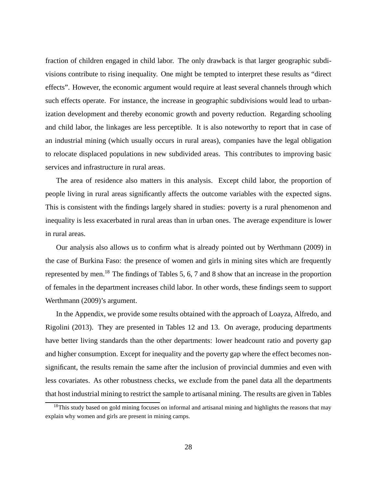fraction of children engaged in child labor. The only drawback is that larger geographic subdivisions contribute to rising inequality. One might be tempted to interpret these results as "direct effects". However, the economic argument would require at least several channels through which such effects operate. For instance, the increase in geographic subdivisions would lead to urbanization development and thereby economic growth and poverty reduction. Regarding schooling and child labor, the linkages are less perceptible. It is also noteworthy to report that in case of an industrial mining (which usually occurs in rural areas), companies have the legal obligation to relocate displaced populations in new subdivided areas. This contributes to improving basic services and infrastructure in rural areas.

The area of residence also matters in this analysis. Except child labor, the proportion of people living in rural areas significantly affects the outcome variables with the expected signs. This is consistent with the findings largely shared in studies: poverty is a rural phenomenon and inequality is less exacerbated in rural areas than in urban ones. The average expenditure is lower in rural areas.

Our analysis also allows us to confirm what is already pointed out by Werthmann (2009) in the case of Burkina Faso: the presence of women and girls in mining sites which are frequently represented by men.<sup>18</sup> The findings of Tables 5, 6, 7 and 8 show that an increase in the proportion of females in the department increases child labor. In other words, these findings seem to support Werthmann (2009)'s argument.

In the Appendix, we provide some results obtained with the approach of Loayza, Alfredo, and Rigolini (2013). They are presented in Tables 12 and 13. On average, producing departments have better living standards than the other departments: lower headcount ratio and poverty gap and higher consumption. Except for inequality and the poverty gap where the effect becomes nonsignificant, the results remain the same after the inclusion of provincial dummies and even with less covariates. As other robustness checks, we exclude from the panel data all the departments that host industrial mining to restrict the sample to artisanal mining. The results are given in Tables

<sup>&</sup>lt;sup>18</sup>This study based on gold mining focuses on informal and artisanal mining and highlights the reasons that may explain why women and girls are present in mining camps.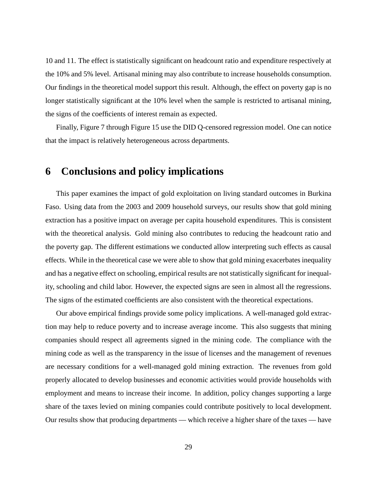10 and 11. The effect is statistically significant on headcount ratio and expenditure respectively at the 10% and 5% level. Artisanal mining may also contribute to increase households consumption. Our findings in the theoretical model support this result. Although, the effect on poverty gap is no longer statistically significant at the 10% level when the sample is restricted to artisanal mining, the signs of the coefficients of interest remain as expected.

Finally, Figure 7 through Figure 15 use the DID Q-censored regression model. One can notice that the impact is relatively heterogeneous across departments.

### **6 Conclusions and policy implications**

This paper examines the impact of gold exploitation on living standard outcomes in Burkina Faso. Using data from the 2003 and 2009 household surveys, our results show that gold mining extraction has a positive impact on average per capita household expenditures. This is consistent with the theoretical analysis. Gold mining also contributes to reducing the headcount ratio and the poverty gap. The different estimations we conducted allow interpreting such effects as causal effects. While in the theoretical case we were able to show that gold mining exacerbates inequality and has a negative effect on schooling, empirical results are not statistically significant for inequality, schooling and child labor. However, the expected signs are seen in almost all the regressions. The signs of the estimated coefficients are also consistent with the theoretical expectations.

Our above empirical findings provide some policy implications. A well-managed gold extraction may help to reduce poverty and to increase average income. This also suggests that mining companies should respect all agreements signed in the mining code. The compliance with the mining code as well as the transparency in the issue of licenses and the management of revenues are necessary conditions for a well-managed gold mining extraction. The revenues from gold properly allocated to develop businesses and economic activities would provide households with employment and means to increase their income. In addition, policy changes supporting a large share of the taxes levied on mining companies could contribute positively to local development. Our results show that producing departments — which receive a higher share of the taxes — have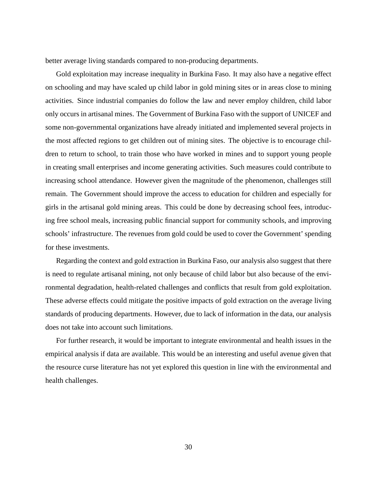better average living standards compared to non-producing departments.

Gold exploitation may increase inequality in Burkina Faso. It may also have a negative effect on schooling and may have scaled up child labor in gold mining sites or in areas close to mining activities. Since industrial companies do follow the law and never employ children, child labor only occurs in artisanal mines. The Government of Burkina Faso with the support of UNICEF and some non-governmental organizations have already initiated and implemented several projects in the most affected regions to get children out of mining sites. The objective is to encourage children to return to school, to train those who have worked in mines and to support young people in creating small enterprises and income generating activities. Such measures could contribute to increasing school attendance. However given the magnitude of the phenomenon, challenges still remain. The Government should improve the access to education for children and especially for girls in the artisanal gold mining areas. This could be done by decreasing school fees, introducing free school meals, increasing public financial support for community schools, and improving schools' infrastructure. The revenues from gold could be used to cover the Government' spending for these investments.

Regarding the context and gold extraction in Burkina Faso, our analysis also suggest that there is need to regulate artisanal mining, not only because of child labor but also because of the environmental degradation, health-related challenges and conflicts that result from gold exploitation. These adverse effects could mitigate the positive impacts of gold extraction on the average living standards of producing departments. However, due to lack of information in the data, our analysis does not take into account such limitations.

For further research, it would be important to integrate environmental and health issues in the empirical analysis if data are available. This would be an interesting and useful avenue given that the resource curse literature has not yet explored this question in line with the environmental and health challenges.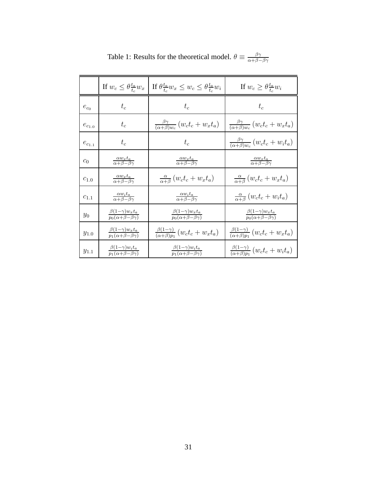|               | If $w_c \leq \theta \frac{t_a}{t_a} w_x$                       | If $\theta \frac{t_a}{t_a} w_x \leq w_c \leq \theta \frac{t_a}{t_a} w_i$ | If $w_c \geq \theta \frac{t_a}{t_a} w_i$                       |
|---------------|----------------------------------------------------------------|--------------------------------------------------------------------------|----------------------------------------------------------------|
| $e_{c_0}$     | $t_c$                                                          | $t_c$                                                                    | $t_c$                                                          |
| $e_{c_{1.0}}$ | $t_c$                                                          | $\frac{\beta\gamma}{(\alpha+\beta)w_c}(w_c t_c + w_x t_a)$               | $\frac{\beta\gamma}{(\alpha+\beta)w_c}(w_c t_c + w_x t_a)$     |
| $e_{c_{1.1}}$ | $t_c$                                                          | $t_c$                                                                    | $\frac{\beta\gamma}{(\alpha+\beta)w_c}(w_c t_c + w_i t_a)$     |
| $c_0$         | $\frac{\alpha w_x t_a}{\alpha + \beta - \beta \gamma}$         | $\frac{\alpha w_x t_a}{\alpha + \beta - \beta \gamma}$                   | $\frac{\alpha w_x t_a}{\alpha + \beta - \beta \gamma}$         |
| $c_{1.0}$     | $\frac{\alpha w_x t_a}{\alpha + \beta - \beta \gamma}$         | $\frac{\alpha}{\alpha+\beta}(w_c t_c + w_x t_a)$                         | $\frac{\alpha}{\alpha+\beta}(w_c t_c + w_x t_a)$               |
| $c_{1,1}$     | $\frac{\alpha w_i t_a}{\alpha + \beta - \beta \gamma}$         | $\frac{\alpha w_i t_a}{\alpha + \beta - \beta \gamma}$                   | $\frac{\alpha}{\alpha+\beta}(w_c t_c + w_i t_a)$               |
| $y_{0}$       | $\frac{\beta(1-\gamma)w_x t_a}{p_0(\alpha+\beta-\beta\gamma)}$ | $\frac{\beta(1-\gamma)w_x t_a}{p_0(\alpha+\beta-\beta\gamma)}$           | $\frac{\beta(1-\gamma)w_xt_a}{p_0(\alpha+\beta-\beta\gamma)}$  |
| $y_{1.0}$     | $\frac{\beta(1-\gamma)w_x t_a}{p_1(\alpha+\beta-\beta\gamma)}$ | $\frac{\beta(1-\gamma)}{(\alpha+\beta)n_1}(w_c t_c + w_x t_a)$           | $\frac{\beta(1-\gamma)}{(\alpha+\beta)p_1}(w_c t_c + w_x t_a)$ |
| $y_{1.1}$     | $\frac{\beta(1-\gamma)w_i t_a}{p_1(\alpha+\beta-\beta\gamma)}$ | $\frac{\beta(1-\gamma)w_i t_a}{p_1(\alpha+\beta-\beta\gamma)}$           | $\frac{\beta(1-\gamma)}{(\alpha+\beta)p_1}(w_c t_c + w_i t_a)$ |

Table 1: Results for the theoretical model.  $\theta \equiv \frac{\beta \gamma}{\alpha + \beta - \beta \gamma}$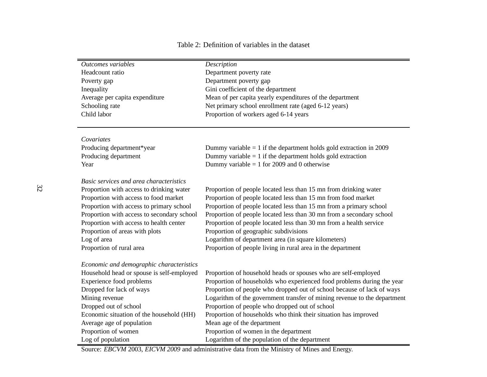#### Table 2: Definition of variables in the dataset

| Outcomes variables                         | Description                                                              |
|--------------------------------------------|--------------------------------------------------------------------------|
| Headcount ratio                            | Department poverty rate                                                  |
| Poverty gap                                | Department poverty gap                                                   |
| Inequality                                 | Gini coefficient of the department                                       |
| Average per capita expenditure             | Mean of per capita yearly expenditures of the department                 |
| Schooling rate                             | Net primary school enrollment rate (aged 6-12 years)                     |
| Child labor                                | Proportion of workers aged 6-14 years                                    |
|                                            |                                                                          |
|                                            |                                                                          |
| Covariates                                 |                                                                          |
| Producing department*year                  | Dummy variable $= 1$ if the department holds gold extraction in 2009     |
| Producing department                       | Dummy variable $= 1$ if the department holds gold extraction             |
| Year                                       | Dummy variable = 1 for 2009 and 0 otherwise                              |
| Basic services and area characteristics    |                                                                          |
| Proportion with access to drinking water   | Proportion of people located less than 15 mn from drinking water         |
| Proportion with access to food market      | Proportion of people located less than 15 mn from food market            |
| Proportion with access to primary school   | Proportion of people located less than 15 mn from a primary school       |
| Proportion with access to secondary school | Proportion of people located less than 30 mn from a secondary school     |
| Proportion with access to health center    | Proportion of people located less than 30 mn from a health service       |
| Proportion of areas with plots             | Proportion of geographic subdivisions                                    |
| Log of area                                | Logarithm of department area (in square kilometers)                      |
| Proportion of rural area                   | Proportion of people living in rural area in the department              |
|                                            |                                                                          |
| Economic and demographic characteristics   |                                                                          |
| Household head or spouse is self-employed  | Proportion of household heads or spouses who are self-employed           |
| Experience food problems                   | Proportion of households who experienced food problems during the year   |
| Dropped for lack of ways                   | Proportion of people who dropped out of school because of lack of ways   |
| Mining revenue                             | Logarithm of the government transfer of mining revenue to the department |
| Dropped out of school                      | Proportion of people who dropped out of school                           |
| Economic situation of the household (HH)   | Proportion of households who think their situation has improved          |
| Average age of population                  | Mean age of the department                                               |
| Proportion of women                        | Proportion of women in the department                                    |
| Log of population                          | Logarithm of the population of the department                            |

Source: *EBCVM* 2003, *EICVM <sup>2009</sup>* and administrative data from the Ministry of Mines and Energy.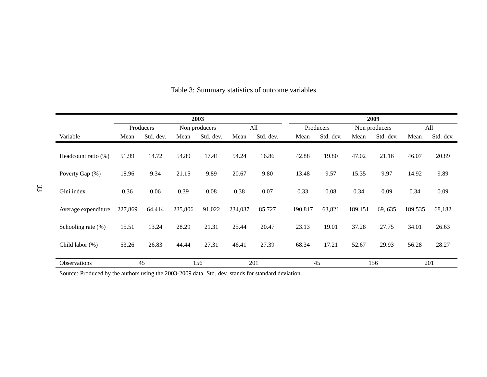|                       | 2003    |           |         |               |         |           | 2009    |           |         |               |         |           |
|-----------------------|---------|-----------|---------|---------------|---------|-----------|---------|-----------|---------|---------------|---------|-----------|
|                       |         | Producers |         | Non producers |         | All       |         | Producers |         | Non producers |         | All       |
| Variable              | Mean    | Std. dev. | Mean    | Std. dev.     | Mean    | Std. dev. | Mean    | Std. dev. | Mean    | Std. dev.     | Mean    | Std. dev. |
| Headcount ratio (%)   | 51.99   | 14.72     | 54.89   | 17.41         | 54.24   | 16.86     | 42.88   | 19.80     | 47.02   | 21.16         | 46.07   | 20.89     |
| Poverty Gap (%)       | 18.96   | 9.34      | 21.15   | 9.89          | 20.67   | 9.80      | 13.48   | 9.57      | 15.35   | 9.97          | 14.92   | 9.89      |
| Gini index            | 0.36    | 0.06      | 0.39    | 0.08          | 0.38    | 0.07      | 0.33    | 0.08      | 0.34    | 0.09          | 0.34    | 0.09      |
| Average expenditure   | 227,869 | 64,414    | 235,806 | 91,022        | 234,037 | 85,727    | 190,817 | 63,821    | 189,151 | 69, 635       | 189,535 | 68,182    |
| Schooling rate $(\%)$ | 15.51   | 13.24     | 28.29   | 21.31         | 25.44   | 20.47     | 23.13   | 19.01     | 37.28   | 27.75         | 34.01   | 26.63     |
| Child labor (%)       | 53.26   | 26.83     | 44.44   | 27.31         | 46.41   | 27.39     | 68.34   | 17.21     | 52.67   | 29.93         | 56.28   | 28.27     |
| Observations          |         | 45        |         | 156           |         | 201       |         | 45        |         | 156           |         | 201       |

#### Table 3: Summary statistics of outcome variables

Source: Produced by the authors using the 2003-2009 data. Std. dev. stands for standard deviation.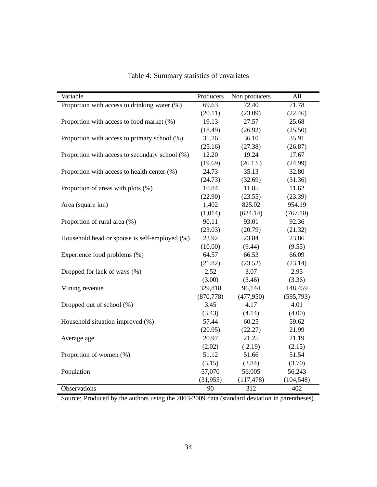| Variable                                       | Producers  | Non producers | All        |
|------------------------------------------------|------------|---------------|------------|
| Proportion with access to drinking water (%)   | 69.63      | 72.40         | 71.78      |
|                                                | (20.11)    | (23.09)       | (22.46)    |
| Proportion with access to food market (%)      | 19.13      | 27.57         | 25.68      |
|                                                | (18.49)    | (26.92)       | (25.50)    |
| Proportion with access to primary school (%)   | 35.26      | 36.10         | 35.91      |
|                                                | (25.16)    | (27.38)       | (26.87)    |
| Proportion with access to secondary school (%) | 12.20      | 19.24         | 17.67      |
|                                                | (19.69)    | (26.13)       | (24.99)    |
| Proportion with access to health center (%)    | 24.73      | 35.13         | 32.80      |
|                                                | (24.73)    | (32.69)       | (31.36)    |
| Proportion of areas with plots (%)             | 10.84      | 11.85         | 11.62      |
|                                                | (22.90)    | (23.55)       | (23.39)    |
| Area (square km)                               | 1,402      | 825.02        | 954.19     |
|                                                | (1,014)    | (624.14)      | (767.10)   |
| Proportion of rural area (%)                   | 90.11      | 93.01         | 92.36      |
|                                                | (23.03)    | (20.79)       | (21.32)    |
| Household head or spouse is self-employed (%)  | 23.92      | 23.84         | 23.86      |
|                                                | (10.00)    | (9.44)        | (9.55)     |
| Experience food problems (%)                   | 64.57      | 66.53         | 66.09      |
|                                                | (21.82)    | (23.52)       | (23.14)    |
| Dropped for lack of ways (%)                   | 2.52       | 3.07          | 2.95       |
|                                                | (3.00)     | (3.46)        | (3.36)     |
| Mining revenue                                 | 329,818    | 96,144        | 148,459    |
|                                                | (870, 778) | (477,950)     | (595, 793) |
| Dropped out of school (%)                      | 3.45       | 4.17          | 4.01       |
|                                                | (3.43)     | (4.14)        | (4.00)     |
| Household situation improved (%)               | 57.44      | 60.25         | 59.62      |
|                                                | (20.95)    | (22.27)       | 21.99      |
| Average age                                    | 20.97      | 21.25         | 21.19      |
|                                                | (2.02)     | (2.19)        | (2.15)     |
| Proportion of women (%)                        | 51.12      | 51.66         | 51.54      |
|                                                | (3.15)     | (3.84)        | (3.70)     |
| Population                                     | 57,070     | 56,005        | 56,243     |
|                                                | (31, 955)  | (117, 478)    | (104, 548) |
| Observations                                   | 90         | 312           | 402        |

Table 4: Summary statistics of covariates

Source: Produced by the authors using the 2003-2009 data (standard deviation in parentheses).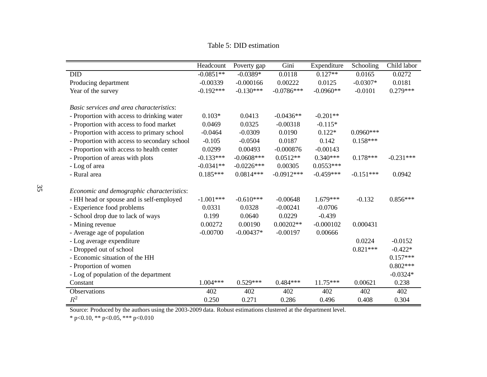Table 5: DID estimation

|                                              | Headcount   | Poverty gap  | Gini         | Expenditure | Schooling   | Child labor |
|----------------------------------------------|-------------|--------------|--------------|-------------|-------------|-------------|
| <b>DID</b>                                   | $-0.0851**$ | $-0.0389*$   | 0.0118       | $0.127**$   | 0.0165      | 0.0272      |
| Producing department                         | $-0.00339$  | $-0.000166$  | 0.00222      | 0.0125      | $-0.0307*$  | 0.0181      |
| Year of the survey                           | $-0.192***$ | $-0.130***$  | $-0.0786***$ | $-0.0960**$ | $-0.0101$   | $0.279***$  |
|                                              |             |              |              |             |             |             |
| Basic services and area characteristics:     |             |              |              |             |             |             |
| - Proportion with access to drinking water   | $0.103*$    | 0.0413       | $-0.0436**$  | $-0.201**$  |             |             |
| - Proportion with access to food market      | 0.0469      | 0.0325       | $-0.00318$   | $-0.115*$   |             |             |
| - Proportion with access to primary school   | $-0.0464$   | $-0.0309$    | 0.0190       | $0.122*$    | $0.0960***$ |             |
| - Proportion with access to secondary school | $-0.105$    | $-0.0504$    | 0.0187       | 0.142       | $0.158***$  |             |
| - Proportion with access to health center    | 0.0299      | 0.00493      | $-0.000876$  | $-0.00143$  |             |             |
| - Proportion of areas with plots             | $-0.133***$ | $-0.0608***$ | $0.0512**$   | $0.340***$  | $0.178***$  | $-0.231***$ |
| - Log of area                                | $-0.0341**$ | $-0.0226***$ | 0.00305      | $0.0553***$ |             |             |
| - Rural area                                 | $0.185***$  | $0.0814***$  | $-0.0912***$ | $-0.459***$ | $-0.151***$ | 0.0942      |
| Economic and demographic characteristics:    |             |              |              |             |             |             |
| - HH head or spouse and is self-employed     | $-1.001***$ | $-0.610***$  | $-0.00648$   | $1.679***$  | $-0.132$    | $0.856***$  |
| - Experience food problems                   | 0.0331      | 0.0328       | $-0.00241$   | $-0.0706$   |             |             |
| - School drop due to lack of ways            | 0.199       | 0.0640       | 0.0229       | $-0.439$    |             |             |
| - Mining revenue                             | 0.00272     | 0.00190      | $0.00202**$  | $-0.000102$ | 0.000431    |             |
| - Average age of population                  | $-0.00700$  | $-0.00437*$  | $-0.00197$   | 0.00666     |             |             |
| - Log average expenditure                    |             |              |              |             | 0.0224      | $-0.0152$   |
| - Dropped out of school                      |             |              |              |             | $0.821***$  | $-0.422*$   |
| - Economic situation of the HH               |             |              |              |             |             | $0.157***$  |
|                                              |             |              |              |             |             |             |
| - Proportion of women                        |             |              |              |             |             | $0.802***$  |
| - Log of population of the department        |             |              |              |             |             | $-0.0324*$  |
| Constant                                     | $1.004***$  | $0.529***$   | $0.484***$   | $11.75***$  | 0.00621     | 0.238       |
| Observations                                 | 402         | 402          | 402          | 402         | 402         | 402         |
| $\mathbb{R}^2$                               | 0.250       | 0.271        | 0.286        | 0.496       | 0.408       | 0.304       |

Source: Produced by the authors using the 2003-2009 data. Robust estimations clustered at the department level.

\* p<0.10, \*\* p<0.05, \*\*\* p<0.010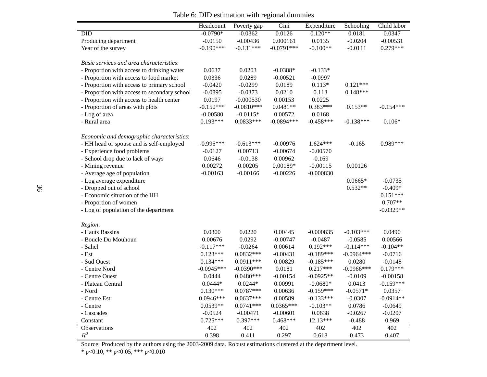|                                              | Headcount    | Poverty gap                | Gini                  | Expenditure                | Schooling                   | Child labor            |
|----------------------------------------------|--------------|----------------------------|-----------------------|----------------------------|-----------------------------|------------------------|
| $\overline{DID}$                             | $-0.0790*$   | $-0.0362$                  | 0.0126                | $0.120**$                  | 0.0181                      | 0.0347                 |
| Producing department                         | $-0.0150$    | $-0.00436$                 | 0.000161              | 0.0135                     | $-0.0204$                   | $-0.00531$             |
| Year of the survey                           | $-0.190***$  | $-0.131***$                | $-0.0791***$          | $-0.100**$                 | $-0.0111$                   | $0.279***$             |
|                                              |              |                            |                       |                            |                             |                        |
| Basic services and area characteristics:     |              |                            |                       |                            |                             |                        |
| - Proportion with access to drinking water   | 0.0637       | 0.0203                     | $-0.0388*$            | $-0.133*$                  |                             |                        |
| - Proportion with access to food market      | 0.0336       | 0.0289                     | $-0.00521$            | $-0.0997$                  |                             |                        |
| - Proportion with access to primary school   | $-0.0420$    | $-0.0299$                  | 0.0189                | $0.113*$                   | $0.121***$                  |                        |
| - Proportion with access to secondary school | $-0.0895$    | $-0.0373$                  | 0.0210                | 0.113                      | $0.148***$                  |                        |
| - Proportion with access to health center    | 0.0197       | $-0.000530$                | 0.00153               | 0.0225                     |                             |                        |
| - Proportion of areas with plots             | $-0.150***$  | $-0.0810***$               | $0.0481**$            | $0.383***$                 | $0.153**$                   | $-0.154***$            |
| - Log of area                                | $-0.00580$   | $-0.0115*$                 | 0.00572               | 0.0168                     |                             |                        |
| - Rural area                                 | $0.193***$   | $0.0833***$                | $-0.0894***$          | $-0.458***$                | $-0.138***$                 | $0.106*$               |
|                                              |              |                            |                       |                            |                             |                        |
| Economic and demographic characteristics:    |              |                            |                       |                            |                             |                        |
| - HH head or spouse and is self-employed     | $-0.995***$  | $-0.613***$                | $-0.00976$            | $1.624***$                 | $-0.165$                    | $0.989***$             |
| - Experience food problems                   | $-0.0127$    | 0.00713                    | $-0.00674$            | $-0.00570$                 |                             |                        |
| - School drop due to lack of ways            | 0.0646       | $-0.0138$                  | 0.00962               | $-0.169$                   |                             |                        |
| - Mining revenue                             | 0.00272      | 0.00205                    | 0.00189*              | $-0.00115$                 | 0.00126                     |                        |
| - Average age of population                  | $-0.00163$   | $-0.00166$                 | $-0.00226$            | $-0.000830$                |                             |                        |
| - Log average expenditure                    |              |                            |                       |                            | $0.0665*$                   | $-0.0735$              |
| - Dropped out of school                      |              |                            |                       |                            | $0.532**$                   | $-0.409*$              |
| - Economic situation of the HH               |              |                            |                       |                            |                             | $0.151***$             |
| - Proportion of women                        |              |                            |                       |                            |                             | $0.707**$              |
| - Log of population of the department        |              |                            |                       |                            |                             | $-0.0329**$            |
|                                              |              |                            |                       |                            |                             |                        |
| Region:                                      |              |                            |                       |                            |                             |                        |
| - Hauts Bassins                              | 0.0300       | 0.0220                     | 0.00445<br>$-0.00747$ | $-0.000835$                | $-0.103***$                 | 0.0490                 |
| - Boucle Du Mouhoun                          | 0.00676      | 0.0292                     |                       | $-0.0487$                  | $-0.0585$                   | 0.00566                |
| - Sahel                                      | $-0.117***$  | $-0.0264$                  | 0.00614               | $0.192***$                 | $-0.114***$<br>$-0.0964***$ | $-0.104**$             |
| - Est                                        | $0.123***$   | $0.0832***$<br>$0.0911***$ | $-0.00431$<br>0.00829 | $-0.189***$<br>$-0.185***$ | 0.0280                      | $-0.0716$<br>$-0.0148$ |
| - Sud Ouest                                  | $0.134***$   |                            |                       |                            |                             |                        |
| - Centre Nord                                | $-0.0945***$ | $-0.0390***$               | 0.0181                | $0.217***$                 | $-0.0966$ ***               | $0.179***$             |
| - Centre Ouest                               | 0.0444       | $0.0480***$                | $-0.00154$            | $-0.0925**$                | $-0.0109$                   | $-0.00158$             |
| - Plateau Central                            | $0.0444*$    | $0.0244*$                  | 0.00991               | $-0.0680*$                 | 0.0413                      | $-0.159***$            |
| - Nord                                       | $0.130***$   | $0.0787***$                | 0.00636               | $-0.159***$                | $-0.0571*$                  | 0.0357                 |
| - Centre Est                                 | $0.0946***$  | $0.0637***$                | 0.00589               | $-0.133***$                | $-0.0307$                   | $-0.0914**$            |
| - Centre                                     | $0.0539**$   | $0.0741***$                | $0.0365***$           | $-0.103**$                 | 0.0786                      | $-0.0649$              |
| - Cascades                                   | $-0.0524$    | $-0.00471$                 | $-0.00601$            | 0.0638                     | $-0.0267$                   | $-0.0207$              |
| Constant                                     | $0.725***$   | $0.397***$                 | $0.468***$            | $12.13***$                 | $-0.488$                    | 0.969                  |
| Observations                                 | 402          | 402                        | 402                   | 402                        | 402                         | 402                    |
| $\mathbb{R}^2$                               | 0.398        | 0.411                      | 0.297                 | 0.618                      | 0.473                       | 0.407                  |

Table 6: DID estimation with regional dummies

Source: Produced by the authors using the 2003-2009 data. Robust estimations clustered at the department level. \* p<0.10, \*\* p<0.05, \*\*\* p<0.010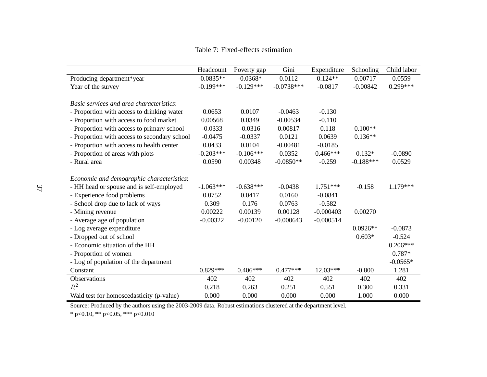Table 7: Fixed-effects estimation

|                                              | Headcount   | Poverty gap | Gini         | Expenditure | Schooling   | Child labor |
|----------------------------------------------|-------------|-------------|--------------|-------------|-------------|-------------|
| Producing department*year                    | $-0.0835**$ | $-0.0368*$  | 0.0112       | $0.124**$   | 0.00717     | 0.0559      |
| Year of the survey                           | $-0.199***$ | $-0.129***$ | $-0.0738***$ | $-0.0817$   | $-0.00842$  | $0.299***$  |
|                                              |             |             |              |             |             |             |
| Basic services and area characteristics:     |             |             |              |             |             |             |
| - Proportion with access to drinking water   | 0.0653      | 0.0107      | $-0.0463$    | $-0.130$    |             |             |
| - Proportion with access to food market      | 0.00568     | 0.0349      | $-0.00534$   | $-0.110$    |             |             |
| - Proportion with access to primary school   | $-0.0333$   | $-0.0316$   | 0.00817      | 0.118       | $0.100**$   |             |
| - Proportion with access to secondary school | $-0.0475$   | $-0.0337$   | 0.0121       | 0.0639      | $0.136**$   |             |
| - Proportion with access to health center    | 0.0433      | 0.0104      | $-0.00481$   | $-0.0185$   |             |             |
| - Proportion of areas with plots             | $-0.203***$ | $-0.106***$ | 0.0352       | $0.466***$  | $0.132*$    | $-0.0890$   |
| - Rural area                                 | 0.0590      | 0.00348     | $-0.0850**$  | $-0.259$    | $-0.188***$ | 0.0529      |
|                                              |             |             |              |             |             |             |
| Economic and demographic characteristics:    |             |             |              |             |             |             |
| - HH head or spouse and is self-employed     | $-1.063***$ | $-0.638***$ | $-0.0438$    | $1.751***$  | $-0.158$    | $1.179***$  |
| - Experience food problems                   | 0.0752      | 0.0417      | 0.0160       | $-0.0841$   |             |             |
| - School drop due to lack of ways            | 0.309       | 0.176       | 0.0763       | $-0.582$    |             |             |
| - Mining revenue                             | 0.00222     | 0.00139     | 0.00128      | $-0.000403$ | 0.00270     |             |
| - Average age of population                  | $-0.00322$  | $-0.00120$  | $-0.000643$  | $-0.000514$ |             |             |
| - Log average expenditure                    |             |             |              |             | $0.0926**$  | $-0.0873$   |
| - Dropped out of school                      |             |             |              |             | $0.603*$    | $-0.524$    |
| - Economic situation of the HH               |             |             |              |             |             | $0.206***$  |
| - Proportion of women                        |             |             |              |             |             | $0.787*$    |
| - Log of population of the department        |             |             |              |             |             | $-0.0565*$  |
| Constant                                     | $0.829***$  | $0.406***$  | $0.477***$   | 12.03***    | $-0.800$    | 1.281       |
| Observations                                 | 402         | 402         | 402          | 402         | 402         | 402         |
| $\mathbb{R}^2$                               | 0.218       | 0.263       | 0.251        | 0.551       | 0.300       | 0.331       |
| Wald test for homoscedasticity $(p$ -value)  | 0.000       | 0.000       | 0.000        | 0.000       | 1.000       | 0.000       |

Source: Produced by the authors using the 2003-2009 data. Robust estimations clustered at the department level.

\* p<0.10, \*\* p<0.05, \*\*\* p<0.010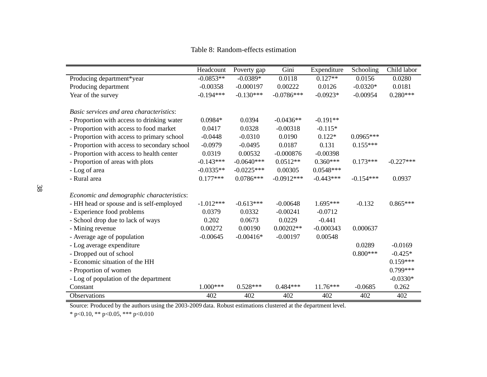Table 8: Random-effects estimation

|                                              | Headcount   | Poverty gap  | Gini         | Expenditure | Schooling   | Child labor |
|----------------------------------------------|-------------|--------------|--------------|-------------|-------------|-------------|
| Producing department*year                    | $-0.0853**$ | $-0.0389*$   | 0.0118       | $0.127**$   | 0.0156      | 0.0280      |
| Producing department                         | $-0.00358$  | $-0.000197$  | 0.00222      | 0.0126      | $-0.0320*$  | 0.0181      |
| Year of the survey                           | $-0.194***$ | $-0.130***$  | $-0.0786***$ | $-0.0923*$  | $-0.00954$  | $0.280***$  |
|                                              |             |              |              |             |             |             |
| Basic services and area characteristics:     |             |              |              |             |             |             |
| - Proportion with access to drinking water   | $0.0984*$   | 0.0394       | $-0.0436**$  | $-0.191**$  |             |             |
| - Proportion with access to food market      | 0.0417      | 0.0328       | $-0.00318$   | $-0.115*$   |             |             |
| - Proportion with access to primary school   | $-0.0448$   | $-0.0310$    | 0.0190       | $0.122*$    | $0.0965***$ |             |
| - Proportion with access to secondary school | $-0.0979$   | $-0.0495$    | 0.0187       | 0.131       | $0.155***$  |             |
| - Proportion with access to health center    | 0.0319      | 0.00532      | $-0.000876$  | $-0.00398$  |             |             |
| - Proportion of areas with plots             | $-0.143***$ | $-0.0640***$ | $0.0512**$   | $0.360***$  | $0.173***$  | $-0.227***$ |
| - Log of area                                | $-0.0335**$ | $-0.0225***$ | 0.00305      | $0.0548***$ |             |             |
| - Rural area                                 | $0.177***$  | $0.0786***$  | $-0.0912***$ | $-0.443***$ | $-0.154***$ | 0.0937      |
|                                              |             |              |              |             |             |             |
| Economic and demographic characteristics:    |             |              |              |             |             |             |
| - HH head or spouse and is self-employed     | $-1.012***$ | $-0.613***$  | $-0.00648$   | $1.695***$  | $-0.132$    | $0.865***$  |
| - Experience food problems                   | 0.0379      | 0.0332       | $-0.00241$   | $-0.0712$   |             |             |
| - School drop due to lack of ways            | 0.202       | 0.0673       | 0.0229       | $-0.441$    |             |             |
| - Mining revenue                             | 0.00272     | 0.00190      | $0.00202**$  | $-0.000343$ | 0.000637    |             |
| - Average age of population                  | $-0.00645$  | $-0.00416*$  | $-0.00197$   | 0.00548     |             |             |
| - Log average expenditure                    |             |              |              |             | 0.0289      | $-0.0169$   |
| - Dropped out of school                      |             |              |              |             | $0.800***$  | $-0.425*$   |
| - Economic situation of the HH               |             |              |              |             |             | $0.159***$  |
| - Proportion of women                        |             |              |              |             |             | $0.799***$  |
| - Log of population of the department        |             |              |              |             |             | $-0.0330*$  |
| Constant                                     | $1.000***$  | $0.528***$   | $0.484***$   | $11.76***$  | $-0.0685$   | 0.262       |
| Observations                                 | 402         | 402          | 402          | 402         | 402         | 402         |

Source: Produced by the authors using the 2003-2009 data. Robust estimations clustered at the department level.

\* p<0.10, \*\* p<0.05, \*\*\* p<0.010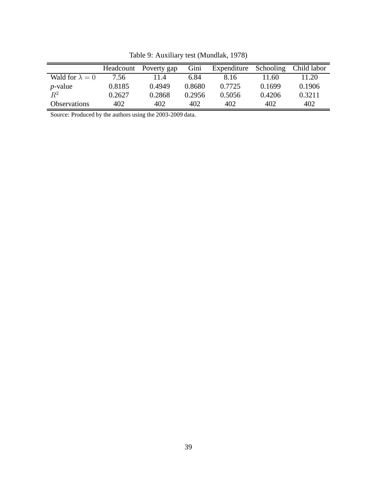|                        | Headcount | Poverty gap | Gini   | Expenditure | Schooling | Child labor |
|------------------------|-----------|-------------|--------|-------------|-----------|-------------|
| Wald for $\lambda = 0$ | 7.56      | 11.4        | 6.84   | 8.16        | 11.60     | 11.20       |
| $p$ -value             | 0.8185    | 0.4949      | 0.8680 | 0.7725      | 0.1699    | 0.1906      |
| $R^2$                  | 0.2627    | 0.2868      | 0.2956 | 0.5056      | 0.4206    | 0.3211      |
| <b>Observations</b>    | 402       | 402         | 402    | 402         | 402       | 402         |

Table 9: Auxiliary test (Mundlak, 1978)

Source: Produced by the authors using the 2003-2009 data.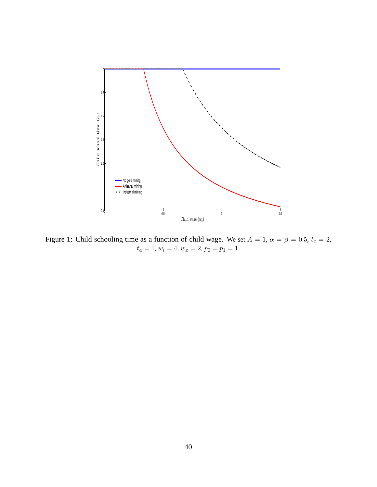

Figure 1: Child schooling time as a function of child wage. We set  $A = 1$ ,  $\alpha = \beta = 0.5$ ,  $t_c = 2$ ,  $t_a = 1, w_i = 4, w_x = 2, p_0 = p_1 = 1.$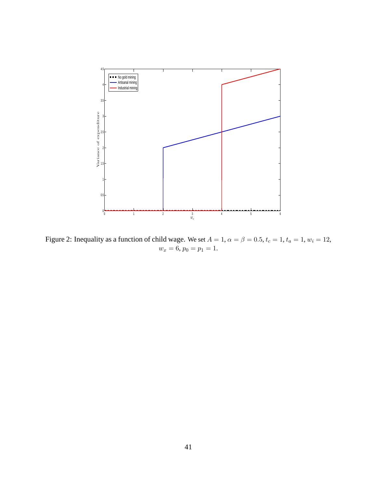

Figure 2: Inequality as a function of child wage. We set  $A = 1$ ,  $\alpha = \beta = 0.5$ ,  $t_c = 1$ ,  $t_a = 1$ ,  $w_i = 12$ ,  $w_x = 6, p_0 = p_1 = 1.$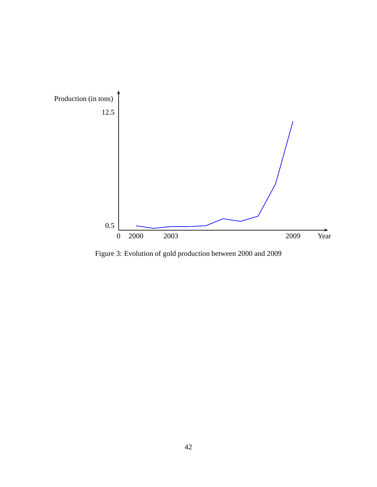

Figure 3: Evolution of gold production between 2000 and 2009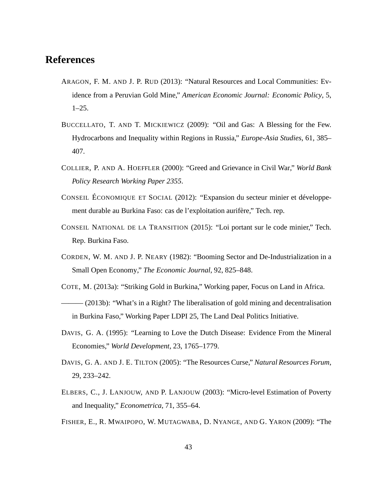### **References**

- ARAGON, F. M. AND J. P. RUD (2013): "Natural Resources and Local Communities: Evidence from a Peruvian Gold Mine," *American Economic Journal: Economic Policy*, 5,  $1-25.$
- BUCCELLATO, T. AND T. MICKIEWICZ (2009): "Oil and Gas: A Blessing for the Few. Hydrocarbons and Inequality within Regions in Russia," *Europe-Asia Studies*, 61, 385– 407.
- COLLIER, P. AND A. HOEFFLER (2000): "Greed and Grievance in Civil War," *World Bank Policy Research Working Paper 2355*.
- CONSEIL ÉCONOMIQUE ET SOCIAL (2012): "Expansion du secteur minier et développement durable au Burkina Faso: cas de l'exploitation aurifère," Tech. rep.
- CONSEIL NATIONAL DE LA TRANSITION (2015): "Loi portant sur le code minier," Tech. Rep. Burkina Faso.
- CORDEN, W. M. AND J. P. NEARY (1982): "Booming Sector and De-Industrialization in a Small Open Economy," *The Economic Journal*, 92, 825–848.
- COTE, M. (2013a): "Striking Gold in Burkina," Working paper, Focus on Land in Africa.
- $(2013b)$ : "What's in a Right? The liberalisation of gold mining and decentralisation in Burkina Faso," Working Paper LDPI 25, The Land Deal Politics Initiative.
- DAVIS, G. A. (1995): "Learning to Love the Dutch Disease: Evidence From the Mineral Economies," *World Development*, 23, 1765–1779.
- DAVIS, G. A. AND J. E. TILTON (2005): "The Resources Curse," *Natural Resources Forum*, 29, 233–242.
- ELBERS, C., J. LANJOUW, AND P. LANJOUW (2003): "Micro-level Estimation of Poverty and Inequality," *Econometrica*, 71, 355–64.
- FISHER, E., R. MWAIPOPO, W. MUTAGWABA, D. NYANGE, AND G. YARON (2009): "The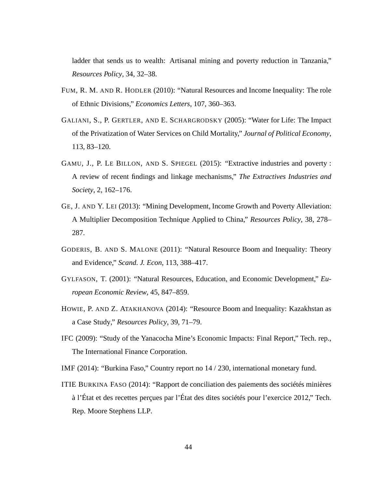ladder that sends us to wealth: Artisanal mining and poverty reduction in Tanzania," *Resources Policy*, 34, 32–38.

- FUM, R. M. AND R. HODLER (2010): "Natural Resources and Income Inequality: The role of Ethnic Divisions," *Economics Letters*, 107, 360–363.
- GALIANI, S., P. GERTLER, AND E. SCHARGRODSKY (2005): "Water for Life: The Impact of the Privatization of Water Services on Child Mortality," *Journal of Political Economy*, 113, 83–120.
- GAMU, J., P. LE BILLON, AND S. SPIEGEL (2015): "Extractive industries and poverty : A review of recent findings and linkage mechanisms," *The Extractives Industries and Society*, 2, 162–176.
- GE, J. AND Y. LEI (2013): "Mining Development, Income Growth and Poverty Alleviation: A Multiplier Decomposition Technique Applied to China," *Resources Policy*, 38, 278– 287.
- GODERIS, B. AND S. MALONE (2011): "Natural Resource Boom and Inequality: Theory and Evidence," *Scand. J. Econ*, 113, 388–417.
- GYLFASON, T. (2001): "Natural Resources, Education, and Economic Development," *European Economic Review*, 45, 847–859.
- HOWIE, P. AND Z. ATAKHANOVA (2014): "Resource Boom and Inequality: Kazakhstan as a Case Study," *Resources Policy*, 39, 71–79.
- IFC (2009): "Study of the Yanacocha Mine's Economic Impacts: Final Report," Tech. rep., The International Finance Corporation.

IMF (2014): "Burkina Faso," Country report no 14 / 230, international monetary fund.

ITIE BURKINA FASO (2014): "Rapport de conciliation des paiements des sociétés minières à l'État et des recettes perçues par l'État des dites sociétés pour l'exercice 2012," Tech. Rep. Moore Stephens LLP.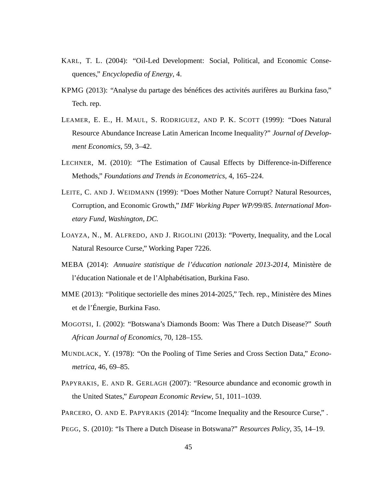- KARL, T. L. (2004): "Oil-Led Development: Social, Political, and Economic Consequences," *Encyclopedia of Energy*, 4.
- KPMG (2013): "Analyse du partage des bénéfices des activités aurifères au Burkina faso," Tech. rep.
- LEAMER, E. E., H. MAUL, S. RODRIGUEZ, AND P. K. SCOTT (1999): "Does Natural Resource Abundance Increase Latin American Income Inequality?" *Journal of Development Economics*, 59, 3–42.
- LECHNER, M. (2010): "The Estimation of Causal Effects by Difference-in-Difference Methods," *Foundations and Trends in Econometrics*, 4, 165–224.
- LEITE, C. AND J. WEIDMANN (1999): "Does Mother Nature Corrupt? Natural Resources, Corruption, and Economic Growth," *IMF Working Paper WP/99/85. International Monetary Fund, Washington, DC.*
- LOAYZA, N., M. ALFREDO, AND J. RIGOLINI (2013): "Poverty, Inequality, and the Local Natural Resource Curse," Working Paper 7226.
- MEBA (2014): *Annuaire statistique de l'éducation nationale 2013-2014*, Ministère de l'éducation Nationale et de l'Alphabétisation, Burkina Faso.
- MME (2013): "Politique sectorielle des mines 2014-2025," Tech. rep., Ministère des Mines et de l'Énergie, Burkina Faso.
- MOGOTSI, I. (2002): "Botswana's Diamonds Boom: Was There a Dutch Disease?" *South African Journal of Economics*, 70, 128–155.
- MUNDLACK, Y. (1978): "On the Pooling of Time Series and Cross Section Data," *Econometrica*, 46, 69–85.
- PAPYRAKIS, E. AND R. GERLAGH (2007): "Resource abundance and economic growth in the United States," *European Economic Review*, 51, 1011–1039.
- PARCERO, O. AND E. PAPYRAKIS (2014): "Income Inequality and the Resource Curse,".
- PEGG, S. (2010): "Is There a Dutch Disease in Botswana?" *Resources Policy*, 35, 14–19.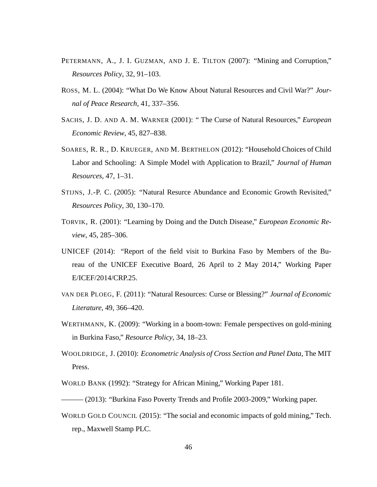- PETERMANN, A., J. I. GUZMAN, AND J. E. TILTON (2007): "Mining and Corruption," *Resources Policy*, 32, 91–103.
- ROSS, M. L. (2004): "What Do We Know About Natural Resources and Civil War?" *Journal of Peace Research*, 41, 337–356.
- SACHS, J. D. AND A. M. WARNER (2001): " The Curse of Natural Resources," *European Economic Review*, 45, 827–838.
- SOARES, R. R., D. KRUEGER, AND M. BERTHELON (2012): "Household Choices of Child Labor and Schooling: A Simple Model with Application to Brazil," *Journal of Human Resources*, 47, 1–31.
- STIJNS, J.-P. C. (2005): "Natural Resurce Abundance and Economic Growth Revisited," *Resources Policy*, 30, 130–170.
- TORVIK, R. (2001): "Learning by Doing and the Dutch Disease," *European Economic Review*, 45, 285–306.
- UNICEF (2014): "Report of the field visit to Burkina Faso by Members of the Bureau of the UNICEF Executive Board, 26 April to 2 May 2014," Working Paper E/ICEF/2014/CRP.25.
- VAN DER PLOEG, F. (2011): "Natural Resources: Curse or Blessing?" *Journal of Economic Literature*, 49, 366–420.
- WERTHMANN, K. (2009): "Working in a boom-town: Female perspectives on gold-mining in Burkina Faso," *Resource Policy*, 34, 18–23.
- WOOLDRIDGE, J. (2010): *Econometric Analysis of Cross Section and Panel Data*, The MIT Press.
- WORLD BANK (1992): "Strategy for African Mining," Working Paper 181.
- (2013): "Burkina Faso Poverty Trends and Profile 2003-2009," Working paper.
- WORLD GOLD COUNCIL (2015): "The social and economic impacts of gold mining," Tech. rep., Maxwell Stamp PLC.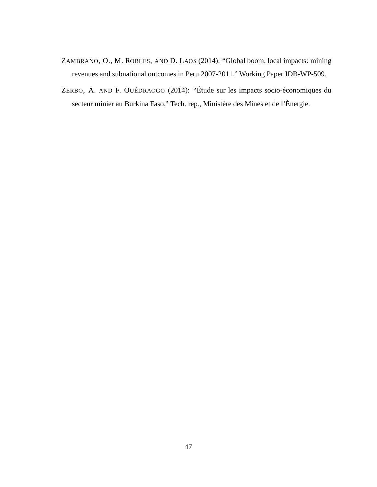- ZAMBRANO, O., M. ROBLES, AND D. LAOS (2014): "Global boom, local impacts: mining revenues and subnational outcomes in Peru 2007-2011," Working Paper IDB-WP-509.
- ZERBO, A. AND F. OUÉDRAOGO (2014): "Étude sur les impacts socio-économiques du secteur minier au Burkina Faso," Tech. rep., Ministère des Mines et de l'Énergie.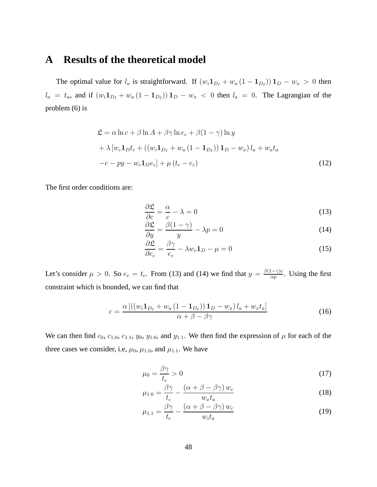### **A Results of the theoretical model**

The optimal value for  $l_a$  is straightforward. If  $(w_i \mathbf{1}_{D_I} + w_a (1 - \mathbf{1}_{D_I})) \mathbf{1}_D - w_x > 0$  then  $l_a = t_a$ , and if  $(w_i \mathbf{1}_{D_I} + w_a (1 - \mathbf{1}_{D_I})) \mathbf{1}_D - w_x < 0$  then  $l_a = 0$ . The Lagrangian of the problem (6) is

$$
\mathcal{L} = \alpha \ln c + \beta \ln A + \beta \gamma \ln e_c + \beta (1 - \gamma) \ln y
$$
  
+  $\lambda [w_c \mathbf{1}_D t_c + ((w_i \mathbf{1}_{D_I} + w_a (1 - \mathbf{1}_{D_I})) \mathbf{1}_D - w_x) l_a + w_x t_a$   
- $c - py - w_c \mathbf{1}_D e_c] + \mu (t_c - e_c)$  (12)

The first order conditions are:

$$
\frac{\partial \mathfrak{L}}{\partial c} = \frac{\alpha}{c} - \lambda = 0 \tag{13}
$$

$$
\frac{\partial \mathfrak{L}}{\partial y} = \frac{\beta(1-\gamma)}{y} - \lambda p = 0 \tag{14}
$$

$$
\frac{\partial \mathfrak{L}}{\partial e_c} = \frac{\beta \gamma}{e_c} - \lambda w_c \mathbf{1}_D - \mu = 0 \tag{15}
$$

Let's consider  $\mu > 0$ . So  $e_c = t_c$ . From (13) and (14) we find that  $y = \frac{\beta(1-\gamma)c}{\alpha n}$  $\frac{1-\gamma)c}{\alpha p}$ . Using the first constraint which is bounded, we can find that

$$
c = \frac{\alpha \left[ \left( \left( w_i \mathbf{1}_{D_I} + w_a \left( 1 - \mathbf{1}_{D_I} \right) \right) \mathbf{1}_D - w_x \right) l_a + w_x t_a \right]}{\alpha + \beta - \beta \gamma} \tag{16}
$$

We can then find  $c_0$ ,  $c_{1.0}$ ,  $c_{1.1}$ ,  $y_0$ ,  $y_{1.0}$ , and  $y_{1.1}$ . We then find the expression of  $\mu$  for each of the three cases we consider, i.e,  $\mu_0$ ,  $\mu_{1.0}$ , and  $\mu_{1.1}$ . We have

$$
\mu_0 = \frac{\beta \gamma}{t_c} > 0 \tag{17}
$$

$$
\mu_{1.0} = \frac{\beta \gamma}{t_c} - \frac{(\alpha + \beta - \beta \gamma) w_c}{w_x t_a} \tag{18}
$$

$$
\mu_{1.1} = \frac{\beta \gamma}{t_c} - \frac{(\alpha + \beta - \beta \gamma) w_c}{w_i t_a} \tag{19}
$$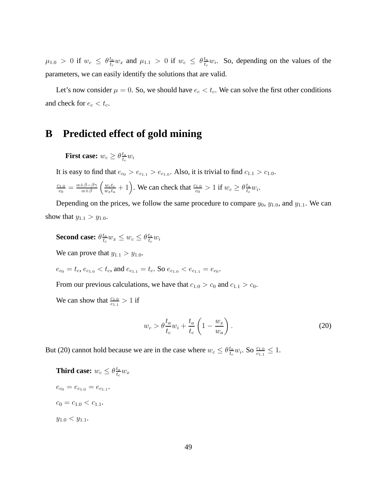$\mu_{1.0}$  > 0 if  $w_c \leq \theta \frac{t_a}{t_c}$  $\frac{t_a}{t_c} w_x$  and  $\mu_{1.1} > 0$  if  $w_c \leq \theta \frac{t_a}{t_c}$  $\frac{t_a}{t_c}$  *w<sub>i</sub>*. So, depending on the values of the parameters, we can easily identify the solutions that are valid.

Let's now consider  $\mu = 0$ . So, we should have  $e_c < t_c$ . We can solve the first other conditions and check for  $e_c < t_c$ .

### **B Predicted effect of gold mining**

**First case:**  $w_c \geq \theta \frac{t_a}{t_a}$  $\frac{t_a}{t_c} w_i$ 

It is easy to find that  $e_{c_0} > e_{c_{1,1}} > e_{c_{1,0}}$ . Also, it is trivial to find  $c_{1,1} > c_{1,0}$ .

 $c_{1.0}$  $\frac{c_{1.0}}{c_0} = \frac{\alpha + \beta - \beta \gamma}{\alpha + \beta}$  $\frac{\beta+\beta-\beta\gamma}{\alpha+\beta}\left(\frac{w_ct_c}{w_xt_a}\right)$  $\frac{w_c t_c}{w_x t_a} + 1$ . We can check that  $\frac{c_{1,0}}{c_0} > 1$  if  $w_c \ge \theta \frac{t_a}{t_c}$  $\frac{t_a}{t_c} w_i.$ 

Depending on the prices, we follow the same procedure to compare  $y_0$ ,  $y_{1,0}$ , and  $y_{1,1}$ . We can show that  $y_{1.1} > y_{1.0}$ .

**Second case:**  $θ^{\frac{t_a}{t_a}}$  $\frac{t_a}{t_c} w_x \leq w_c \leq \theta \frac{t_a}{t_c}$  $\frac{t_a}{t_c} w_i$ 

We can prove that  $y_{1.1} > y_{1.0}$ .

$$
e_{c_0} = t_c, e_{c_{1.0}} < t_c, \text{ and } e_{c_{1.1}} = t_c. \text{ So } e_{c_{1.0}} < e_{c_{1.1}} = e_{c_0}.
$$

From our previous calculations, we have that  $c_{1,0} > c_0$  and  $c_{1,1} > c_0$ .

We can show that  $\frac{c_{1,0}}{c_{1,1}} > 1$  if

$$
w_c > \theta \frac{t_a}{t_c} w_i + \frac{t_a}{t_c} \left( 1 - \frac{w_x}{w_a} \right). \tag{20}
$$

But (20) cannot hold because we are in the case where  $w_c \leq \theta \frac{t_a}{t_c}$  $\frac{t_a}{t_c} w_i$ . So  $\frac{c_{1.0}}{c_{1.1}} \leq 1$ .

**Third case:**  $w_c \leq \theta \frac{t_a}{t_a}$  $\frac{t_a}{t_c} w_x$  $e_{c_0} = e_{c_{1.0}} = e_{c_{1.1}}.$  $c_0 = c_{1.0} < c_{1.1}.$  $y_{1.0} < y_{1.1}.$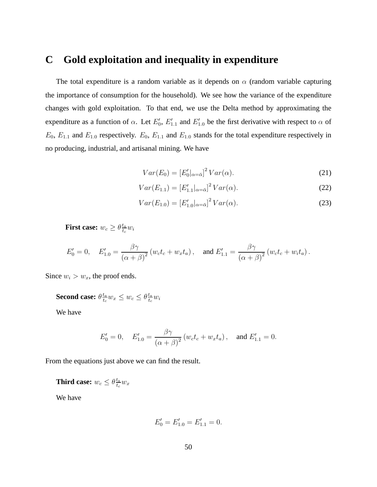### **C Gold exploitation and inequality in expenditure**

The total expenditure is a random variable as it depends on  $\alpha$  (random variable capturing the importance of consumption for the household). We see how the variance of the expenditure changes with gold exploitation. To that end, we use the Delta method by approximating the expenditure as a function of  $\alpha$ . Let  $E'_0$ ,  $E'_{1,1}$  and  $E'_{1,0}$  be the first derivative with respect to  $\alpha$  of  $E_0$ ,  $E_{1,1}$  and  $E_{1,0}$  respectively.  $E_0$ ,  $E_{1,1}$  and  $E_{1,0}$  stands for the total expenditure respectively in no producing, industrial, and artisanal mining. We have

$$
Var(E_0) = \left[E'_0|_{\alpha = \bar{\alpha}}\right]^2 Var(\alpha).
$$
 (21)

$$
Var(E_{1.1}) = [E'_{1.1}|_{\alpha = \bar{\alpha}}]^2 Var(\alpha).
$$
 (22)

$$
Var(E_{1.0}) = [E'_{1.0}|_{\alpha = \bar{\alpha}}]^2 Var(\alpha).
$$
 (23)

**First case:**  $w_c \geq \theta \frac{t_a}{t_a}$  $\frac{t_a}{t_c} w_i$ 

$$
E'_{0} = 0, \quad E'_{1.0} = \frac{\beta \gamma}{(\alpha + \beta)^2} (w_c t_c + w_x t_a), \quad \text{and } E'_{1.1} = \frac{\beta \gamma}{(\alpha + \beta)^2} (w_c t_c + w_i t_a).
$$

Since  $w_i > w_x$ , the proof ends.

**Second case:**  $\theta \frac{t_a}{t_a}$  $\frac{t_a}{t_c} w_x \leq w_c \leq \theta \frac{t_a}{t_c}$  $\frac{t_a}{t_c} w_i$ 

We have

$$
E'_0 = 0, \quad E'_{1.0} = \frac{\beta \gamma}{\left(\alpha + \beta\right)^2} \left(w_c t_c + w_x t_a\right), \quad \text{and } E'_{1.1} = 0.
$$

From the equations just above we can find the result.

**Third case:**  $w_c \leq \theta \frac{t_a}{t_c}$  $\frac{t_a}{t_c} w_x$ 

We have

$$
E_0' = E_{1.0}' = E_{1.1}' = 0.
$$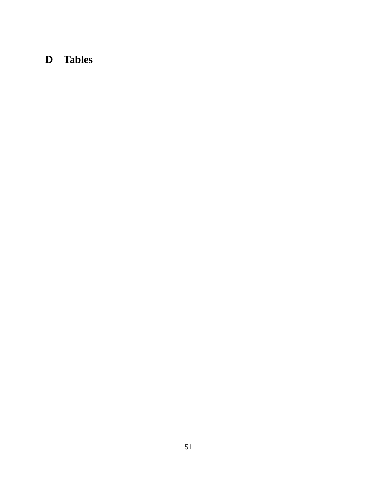# **D Tables**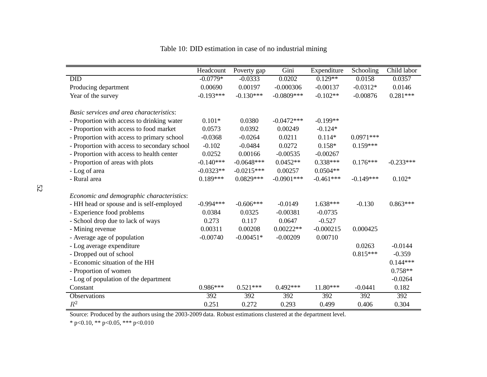|                                              | Headcount   | Poverty gap  | Gini         | Expenditure | Schooling   | Child labor |
|----------------------------------------------|-------------|--------------|--------------|-------------|-------------|-------------|
| <b>DID</b>                                   | $-0.0779*$  | $-0.0333$    | 0.0202       | $0.129**$   | 0.0158      | 0.0357      |
| Producing department                         | 0.00690     | 0.00197      | $-0.000306$  | $-0.00137$  | $-0.0312*$  | 0.0146      |
| Year of the survey                           | $-0.193***$ | $-0.130***$  | $-0.0809***$ | $-0.102**$  | $-0.00876$  | $0.281***$  |
|                                              |             |              |              |             |             |             |
| Basic services and area characteristics:     |             |              |              |             |             |             |
| - Proportion with access to drinking water   | $0.101*$    | 0.0380       | $-0.0472***$ | $-0.199**$  |             |             |
| - Proportion with access to food market      | 0.0573      | 0.0392       | 0.00249      | $-0.124*$   |             |             |
| - Proportion with access to primary school   | $-0.0368$   | $-0.0264$    | 0.0211       | $0.114*$    | $0.0971***$ |             |
| - Proportion with access to secondary school | $-0.102$    | $-0.0484$    | 0.0272       | $0.158*$    | $0.159***$  |             |
| - Proportion with access to health center    | 0.0252      | 0.00166      | $-0.00535$   | $-0.00267$  |             |             |
| - Proportion of areas with plots             | $-0.140***$ | $-0.0648***$ | $0.0452**$   | $0.338***$  | $0.176***$  | $-0.233***$ |
| - Log of area                                | $-0.0323**$ | $-0.0215***$ | 0.00257      | $0.0504**$  |             |             |
| - Rural area                                 | $0.189***$  | $0.0829***$  | $-0.0901***$ | $-0.461***$ | $-0.149***$ | $0.102*$    |
| Economic and demographic characteristics:    |             |              |              |             |             |             |
| - HH head or spouse and is self-employed     | $-0.994***$ | $-0.606***$  | $-0.0149$    | $1.638***$  | $-0.130$    | $0.863***$  |
| - Experience food problems                   | 0.0384      | 0.0325       | $-0.00381$   | $-0.0735$   |             |             |
| - School drop due to lack of ways            | 0.273       | 0.117        | 0.0647       | $-0.527$    |             |             |
| - Mining revenue                             | 0.00311     | 0.00208      | $0.00222**$  | $-0.000215$ | 0.000425    |             |
| - Average age of population                  | $-0.00740$  | $-0.00451*$  | $-0.00209$   | 0.00710     |             |             |
| - Log average expenditure                    |             |              |              |             | 0.0263      | $-0.0144$   |
| - Dropped out of school                      |             |              |              |             | $0.815***$  | $-0.359$    |
| - Economic situation of the HH               |             |              |              |             |             | $0.144***$  |
| - Proportion of women                        |             |              |              |             |             | $0.758**$   |
|                                              |             |              |              |             |             | $-0.0264$   |
| - Log of population of the department        | $0.986***$  |              |              |             |             |             |
| Constant                                     |             | $0.521***$   | $0.492***$   | $11.80***$  | $-0.0441$   | 0.182       |
| Observations                                 | 392         | 392          | 392          | 392         | 392         | 392         |
| $R^2$                                        | 0.251       | 0.272        | 0.293        | 0.499       | 0.406       | 0.304       |

Table 10: DID estimation in case of no industrial mining

Source: Produced by the authors using the 2003-2009 data. Robust estimations clustered at the department level.

\* p<0.10, \*\* p<0.05, \*\*\* p<0.010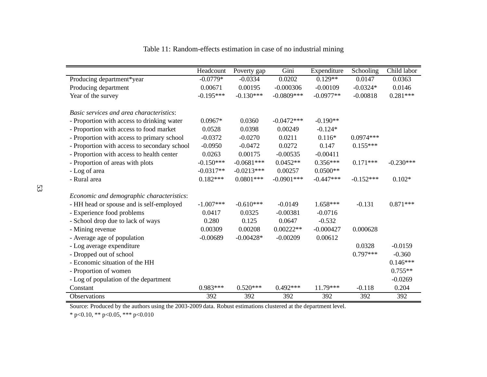|                                                   | Headcount   | Poverty gap  | Gini          | Expenditure | Schooling   | Child labor |
|---------------------------------------------------|-------------|--------------|---------------|-------------|-------------|-------------|
| Producing department*year                         | $-0.0779*$  | $-0.0334$    | 0.0202        | $0.129**$   | 0.0147      | 0.0363      |
| Producing department                              | 0.00671     | 0.00195      | $-0.000306$   | $-0.00109$  | $-0.0324*$  | 0.0146      |
| Year of the survey                                | $-0.195***$ | $-0.130***$  | $-0.0809***$  | $-0.0977**$ | $-0.00818$  | $0.281***$  |
|                                                   |             |              |               |             |             |             |
| Basic services and area characteristics:          |             |              |               |             |             |             |
| - Proportion with access to drinking water        | $0.0967*$   | 0.0360       | $-0.0472***$  | $-0.190**$  |             |             |
| - Proportion with access to food market           | 0.0528      | 0.0398       | 0.00249       | $-0.124*$   |             |             |
| - Proportion with access to primary school        | $-0.0372$   | $-0.0270$    | 0.0211        | $0.116*$    | $0.0974***$ |             |
| - Proportion with access to secondary school      | $-0.0950$   | $-0.0472$    | 0.0272        | 0.147       | $0.155***$  |             |
| - Proportion with access to health center         | 0.0263      | 0.00175      | $-0.00535$    | $-0.00411$  |             |             |
| - Proportion of areas with plots                  | $-0.150***$ | $-0.0681***$ | $0.0452**$    | $0.356***$  | $0.171***$  | $-0.230***$ |
| - Log of area                                     | $-0.0317**$ | $-0.0213***$ | 0.00257       | $0.0500**$  |             |             |
| - Rural area                                      | $0.182***$  | $0.0801***$  | $-0.0901$ *** | $-0.447***$ | $-0.152***$ | $0.102*$    |
| Economic and demographic characteristics:         |             |              |               |             |             |             |
| - HH head or spouse and is self-employed          | $-1.007***$ | $-0.610***$  | $-0.0149$     | $1.658***$  | $-0.131$    | $0.871***$  |
| - Experience food problems                        | 0.0417      | 0.0325       | $-0.00381$    | $-0.0716$   |             |             |
| - School drop due to lack of ways                 | 0.280       | 0.125        | 0.0647        | $-0.532$    |             |             |
| - Mining revenue                                  | 0.00309     | 0.00208      | $0.00222**$   | $-0.000427$ | 0.000628    |             |
| - Average age of population                       | $-0.00689$  | $-0.00428*$  | $-0.00209$    | 0.00612     |             |             |
| - Log average expenditure                         |             |              |               |             | 0.0328      | $-0.0159$   |
| - Dropped out of school                           |             |              |               |             | $0.797***$  | $-0.360$    |
| - Economic situation of the HH                    |             |              |               |             |             | $0.146***$  |
| - Proportion of women                             |             |              |               |             |             | $0.755**$   |
|                                                   |             |              |               |             |             | $-0.0269$   |
| - Log of population of the department<br>Constant | $0.983***$  | $0.520***$   | $0.492***$    | $11.79***$  | $-0.118$    | 0.204       |
|                                                   |             |              |               |             |             |             |
| Observations                                      | 392         | 392          | 392           | 392         | 392         | 392         |

| Table 11: Random-effects estimation in case of no industrial mining |  |  |  |  |
|---------------------------------------------------------------------|--|--|--|--|
|---------------------------------------------------------------------|--|--|--|--|

Source: Produced by the authors using the 2003-2009 data. Robust estimations clustered at the department level.

\* p<0.10, \*\* p<0.05, \*\*\* p<0.010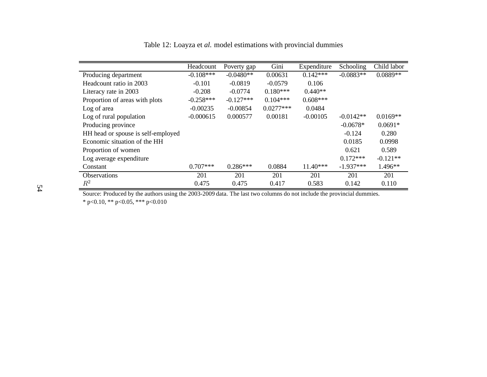|                                    | Headcount    | Poverty gap | Gini        | Expenditure | Schooling   | Child labor |
|------------------------------------|--------------|-------------|-------------|-------------|-------------|-------------|
| Producing department               | $-0.108$ *** | $-0.0480**$ | 0.00631     | $0.142***$  | $-0.0883**$ | $0.0889**$  |
| Headcount ratio in 2003            | $-0.101$     | $-0.0819$   | $-0.0579$   | 0.106       |             |             |
| Literacy rate in 2003              | $-0.208$     | $-0.0774$   | $0.180***$  | $0.440**$   |             |             |
| Proportion of areas with plots     | $-0.258***$  | $-0.127***$ | $0.104***$  | $0.608***$  |             |             |
| Log of area                        | $-0.00235$   | $-0.00854$  | $0.0277***$ | 0.0484      |             |             |
| Log of rural population            | $-0.000615$  | 0.000577    | 0.00181     | $-0.00105$  | $-0.0142**$ | $0.0169**$  |
| Producing province                 |              |             |             |             | $-0.0678*$  | $0.0691*$   |
| HH head or spouse is self-employed |              |             |             |             | $-0.124$    | 0.280       |
| Economic situation of the HH       |              |             |             |             | 0.0185      | 0.0998      |
| Proportion of women                |              |             |             |             | 0.621       | 0.589       |
| Log average expenditure            |              |             |             |             | $0.172***$  | $-0.121**$  |
| Constant                           | $0.707***$   | $0.286***$  | 0.0884      | $11.40***$  | $-1.937***$ | $1.496**$   |
| <b>Observations</b>                | 201          | 201         | 201         | 201         | 201         | 201         |
| $\,R^2$                            | 0.475        | 0.475       | 0.417       | 0.583       | 0.142       | 0.110       |

Table 12: Loayza et *al.* model estimations with provincial dummies

Source: Produced by the authors using the 2003-2009 data. The last two columns do not include the provincial dummies. \* p<0.10, \*\* p<0.05, \*\*\* p<0.010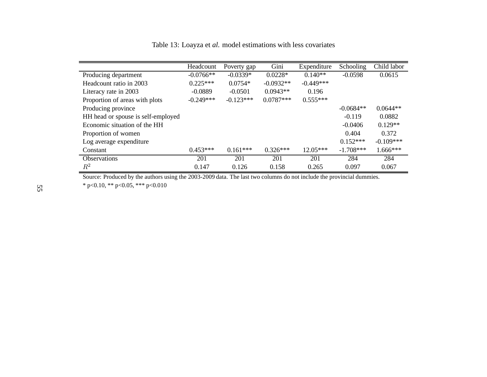Table 13: Loayza et *al.* model estimations with less covariates

|                                    | Headcount   | Poverty gap | Gini        | Expenditure | Schooling   | Child labor |
|------------------------------------|-------------|-------------|-------------|-------------|-------------|-------------|
| Producing department               | $-0.0766**$ | $-0.0339*$  | $0.0228*$   | $0.140**$   | $-0.0598$   | 0.0615      |
| Headcount ratio in 2003            | $0.225***$  | $0.0754*$   | $-0.0932**$ | $-0.449***$ |             |             |
| Literacy rate in 2003              | $-0.0889$   | $-0.0501$   | $0.0943**$  | 0.196       |             |             |
| Proportion of areas with plots     | $-0.249***$ | $-0.123***$ | $0.0787***$ | $0.555***$  |             |             |
| Producing province                 |             |             |             |             | $-0.0684**$ | $0.0644**$  |
| HH head or spouse is self-employed |             |             |             |             | $-0.119$    | 0.0882      |
| Economic situation of the HH       |             |             |             |             | $-0.0406$   | $0.129**$   |
| Proportion of women                |             |             |             |             | 0.404       | 0.372       |
| Log average expenditure            |             |             |             |             | $0.152***$  | $-0.109***$ |
| Constant                           | $0.453***$  | $0.161***$  | $0.326***$  | $12.05***$  | $-1.708***$ | $1.666***$  |
| <b>Observations</b>                | 201         | 201         | 201         | 201         | 284         | 284         |
| $\,R^2$                            | 0.147       | 0.126       | 0.158       | 0.265       | 0.097       | 0.067       |

Source: Produced by the authors using the 2003-2009 data. The last two columns do not include the provincial dummies.

\* p<0.10, \*\* p<0.05, \*\*\* p<0.010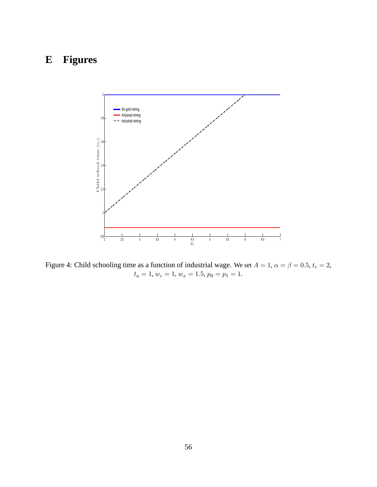# **E Figures**



Figure 4: Child schooling time as a function of industrial wage. We set  $A = 1$ ,  $\alpha = \beta = 0.5$ ,  $t_c = 2$ ,  $t_a = 1, w_c = 1, w_x = 1.5, p_0 = p_1 = 1.$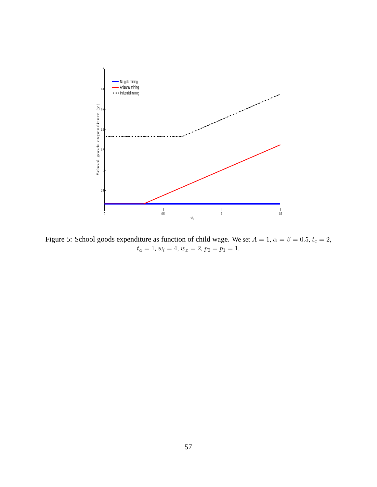

Figure 5: School goods expenditure as function of child wage. We set  $A = 1$ ,  $\alpha = \beta = 0.5$ ,  $t_c = 2$ ,  $t_a = 1, w_i = 4, w_x = 2, p_0 = p_1 = 1.$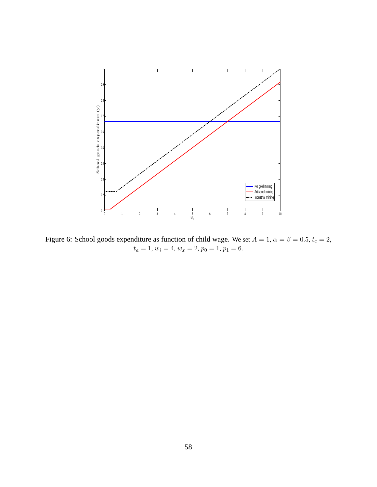

Figure 6: School goods expenditure as function of child wage. We set  $A = 1$ ,  $\alpha = \beta = 0.5$ ,  $t_c = 2$ ,  $t_a = 1, w_i = 4, w_x = 2, p_0 = 1, p_1 = 6.$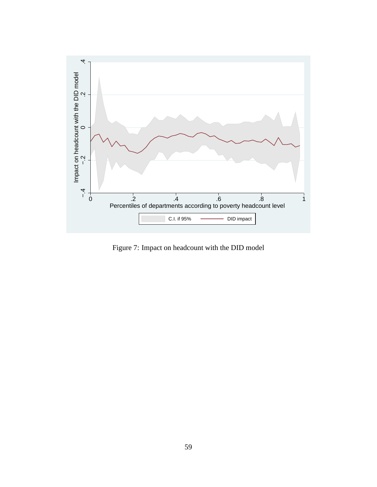

Figure 7: Impact on headcount with the DID model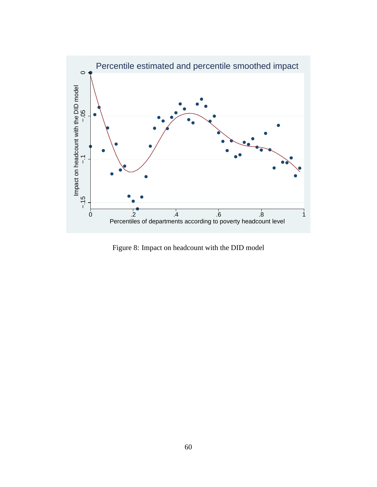

Figure 8: Impact on headcount with the DID model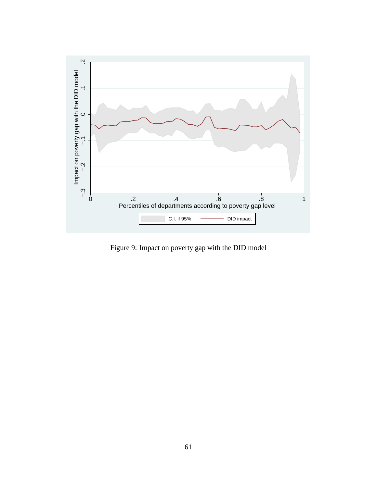

Figure 9: Impact on poverty gap with the DID model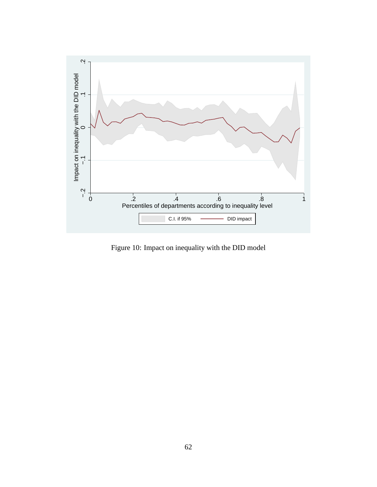

Figure 10: Impact on inequality with the DID model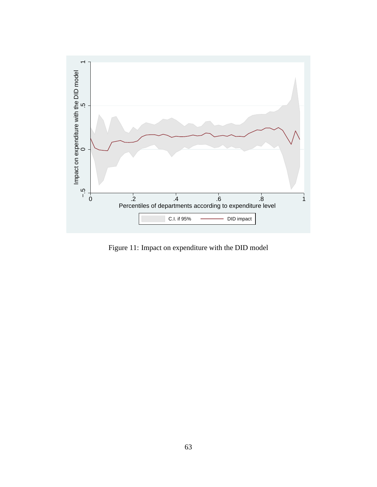

Figure 11: Impact on expenditure with the DID model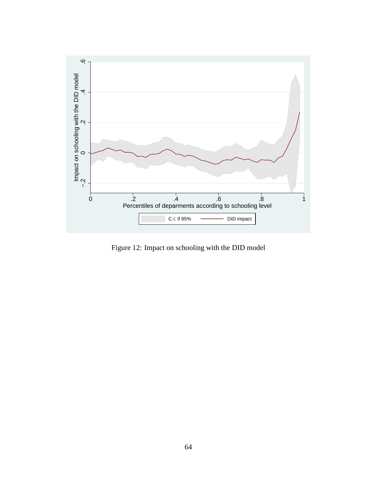

Figure 12: Impact on schooling with the DID model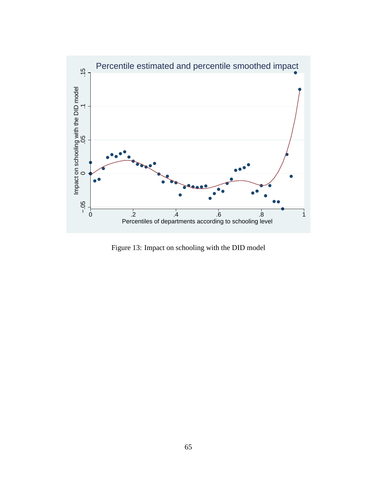

Figure 13: Impact on schooling with the DID model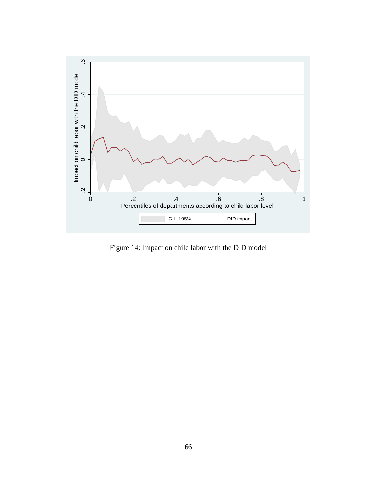

Figure 14: Impact on child labor with the DID model